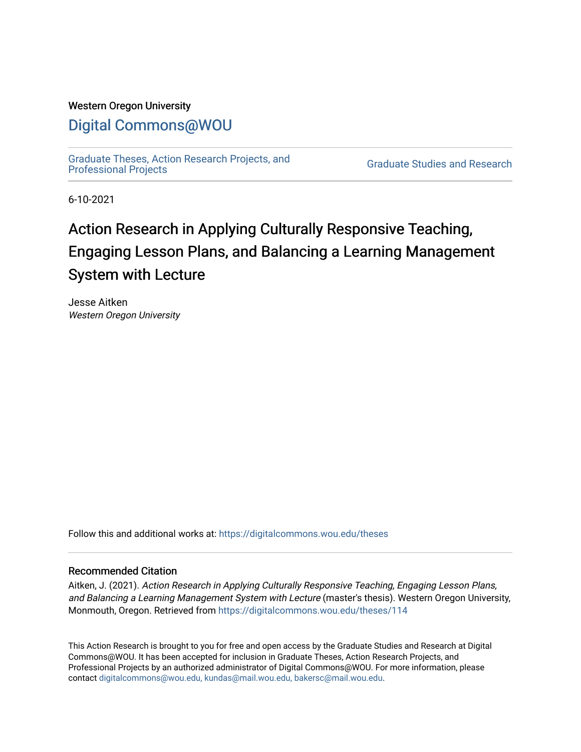#### Western Oregon University

## [Digital Commons@WOU](https://digitalcommons.wou.edu/)

[Graduate Theses, Action Research Projects, and](https://digitalcommons.wou.edu/theses) 

**Graduate Studies and Research** 

6-10-2021

# Action Research in Applying Culturally Responsive Teaching, Engaging Lesson Plans, and Balancing a Learning Management System with Lecture

Jesse Aitken Western Oregon University

Follow this and additional works at: [https://digitalcommons.wou.edu/theses](https://digitalcommons.wou.edu/theses?utm_source=digitalcommons.wou.edu%2Ftheses%2F114&utm_medium=PDF&utm_campaign=PDFCoverPages) 

#### Recommended Citation

Aitken, J. (2021). Action Research in Applying Culturally Responsive Teaching, Engaging Lesson Plans, and Balancing a Learning Management System with Lecture (master's thesis). Western Oregon University, Monmouth, Oregon. Retrieved from [https://digitalcommons.wou.edu/theses/114](https://digitalcommons.wou.edu/theses/114?utm_source=digitalcommons.wou.edu%2Ftheses%2F114&utm_medium=PDF&utm_campaign=PDFCoverPages) 

This Action Research is brought to you for free and open access by the Graduate Studies and Research at Digital Commons@WOU. It has been accepted for inclusion in Graduate Theses, Action Research Projects, and Professional Projects by an authorized administrator of Digital Commons@WOU. For more information, please contact [digitalcommons@wou.edu, kundas@mail.wou.edu, bakersc@mail.wou.edu](mailto:digitalcommons@wou.edu,%20kundas@mail.wou.edu,%20bakersc@mail.wou.edu).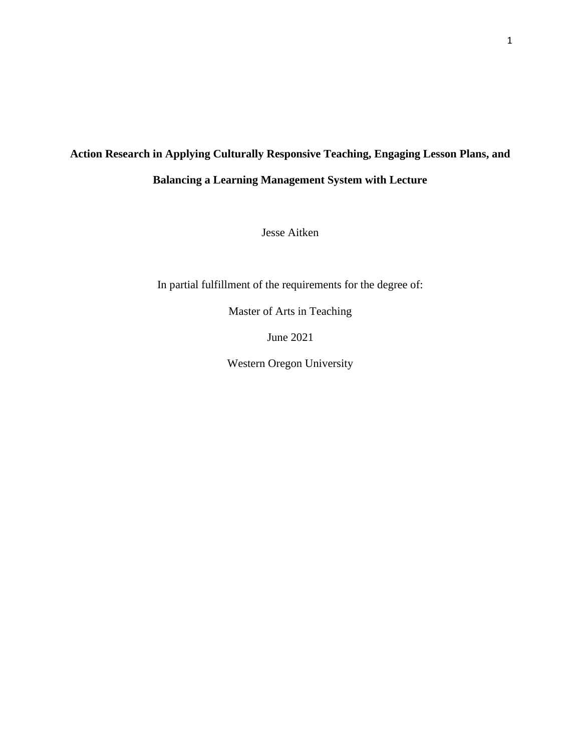# **Action Research in Applying Culturally Responsive Teaching, Engaging Lesson Plans, and Balancing a Learning Management System with Lecture**

Jesse Aitken

In partial fulfillment of the requirements for the degree of:

Master of Arts in Teaching

June 2021

Western Oregon University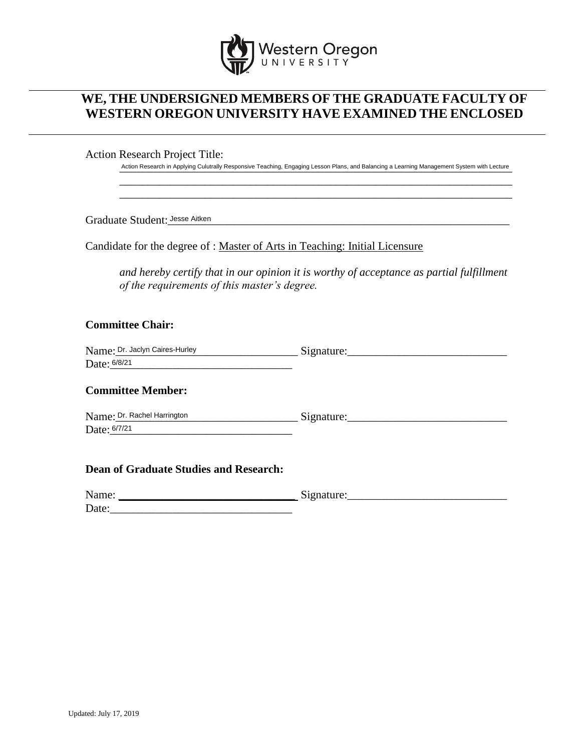

## **WE, THE UNDERSIGNED MEMBERS OF THE GRADUATE FACULTY OF WESTERN OREGON UNIVERSITY HAVE EXAMINED THE ENCLOSED**

Action Research Project Title:

Action Research in Applying Culutrally Responsive Teaching, Engaging Lesson Plans, and Balancing a Learning Management System with Lecture \_\_\_\_\_\_\_\_\_\_\_\_\_\_\_\_\_\_\_\_\_\_\_\_\_\_\_\_\_\_\_\_\_\_\_\_\_\_\_\_\_\_\_\_\_\_\_\_\_\_\_\_\_\_\_\_\_\_\_\_\_\_\_\_\_\_\_\_\_

\_\_\_\_\_\_\_\_\_\_\_\_\_\_\_\_\_\_\_\_\_\_\_\_\_\_\_\_\_\_\_\_\_\_\_\_\_\_\_\_\_\_\_\_\_\_\_\_\_\_\_\_\_\_\_\_\_\_\_\_\_\_\_\_\_\_\_\_\_

Graduate Student:\_\_\_\_\_\_\_\_\_\_\_\_\_\_\_\_\_\_\_\_\_\_\_\_\_\_\_\_\_\_\_\_\_\_\_\_\_\_\_\_\_\_\_\_\_\_\_\_\_\_\_\_\_\_\_\_\_\_\_\_ Jesse Aitken

Candidate for the degree of : Master of Arts in Teaching: Initial Licensure

*and hereby certify that in our opinion it is worthy of acceptance as partial fulfillment of the requirements of this master's degree.*

#### **Committee Chair:**

| Name: Dr. Jaclyn Caires-Hurley | Signature: |
|--------------------------------|------------|
| Date: 6/8/21                   |            |

#### **Committee Member:**

| Name: Dr. Rachel Harrington | Signature: |
|-----------------------------|------------|
| Date: 6/7/21                |            |

#### **Dean of Graduate Studies and Research:**

| Name: | $\sim$<br>-griature.<br>◡ |
|-------|---------------------------|
| Date: |                           |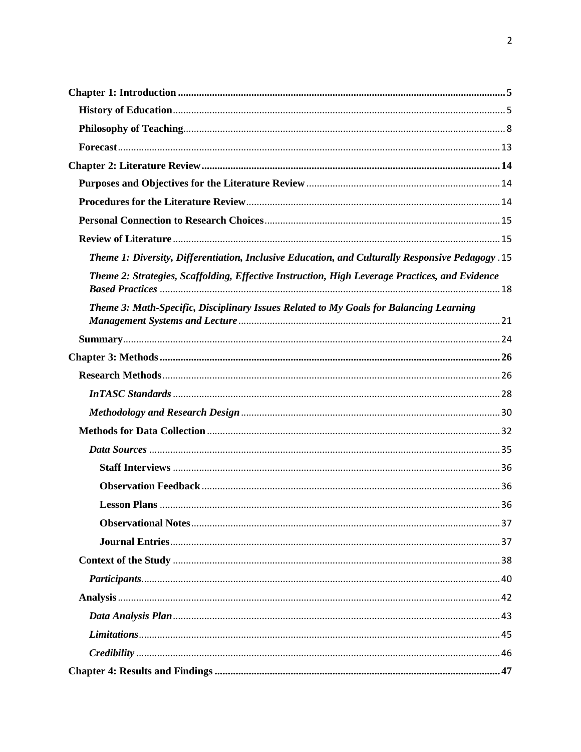| Theme 1: Diversity, Differentiation, Inclusive Education, and Culturally Responsive Pedagogy .15 |  |
|--------------------------------------------------------------------------------------------------|--|
| Theme 2: Strategies, Scaffolding, Effective Instruction, High Leverage Practices, and Evidence   |  |
| Theme 3: Math-Specific, Disciplinary Issues Related to My Goals for Balancing Learning           |  |
|                                                                                                  |  |
|                                                                                                  |  |
|                                                                                                  |  |
|                                                                                                  |  |
|                                                                                                  |  |
|                                                                                                  |  |
|                                                                                                  |  |
|                                                                                                  |  |
|                                                                                                  |  |
|                                                                                                  |  |
|                                                                                                  |  |
|                                                                                                  |  |
|                                                                                                  |  |
|                                                                                                  |  |
|                                                                                                  |  |
|                                                                                                  |  |
|                                                                                                  |  |
|                                                                                                  |  |
|                                                                                                  |  |
|                                                                                                  |  |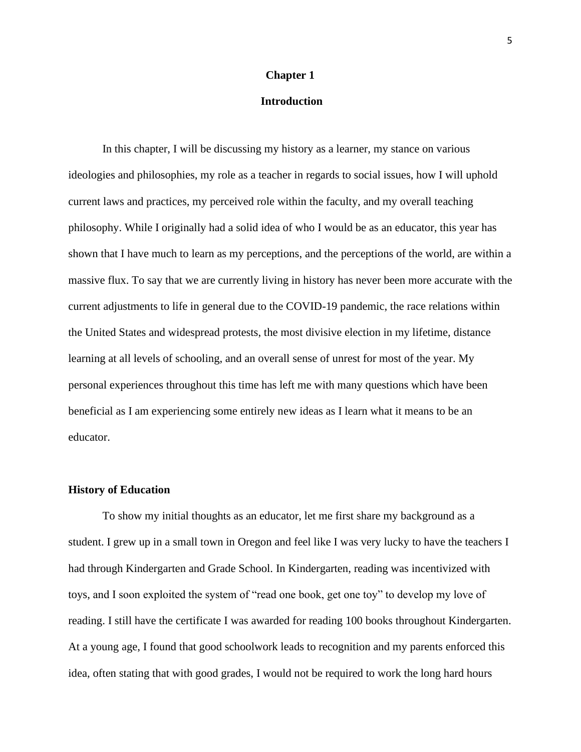#### **Chapter 1**

#### <span id="page-6-0"></span>**Introduction**

In this chapter, I will be discussing my history as a learner, my stance on various ideologies and philosophies, my role as a teacher in regards to social issues, how I will uphold current laws and practices, my perceived role within the faculty, and my overall teaching philosophy. While I originally had a solid idea of who I would be as an educator, this year has shown that I have much to learn as my perceptions, and the perceptions of the world, are within a massive flux. To say that we are currently living in history has never been more accurate with the current adjustments to life in general due to the COVID-19 pandemic, the race relations within the United States and widespread protests, the most divisive election in my lifetime, distance learning at all levels of schooling, and an overall sense of unrest for most of the year. My personal experiences throughout this time has left me with many questions which have been beneficial as I am experiencing some entirely new ideas as I learn what it means to be an educator.

#### <span id="page-6-1"></span>**History of Education**

To show my initial thoughts as an educator, let me first share my background as a student. I grew up in a small town in Oregon and feel like I was very lucky to have the teachers I had through Kindergarten and Grade School. In Kindergarten, reading was incentivized with toys, and I soon exploited the system of "read one book, get one toy" to develop my love of reading. I still have the certificate I was awarded for reading 100 books throughout Kindergarten. At a young age, I found that good schoolwork leads to recognition and my parents enforced this idea, often stating that with good grades, I would not be required to work the long hard hours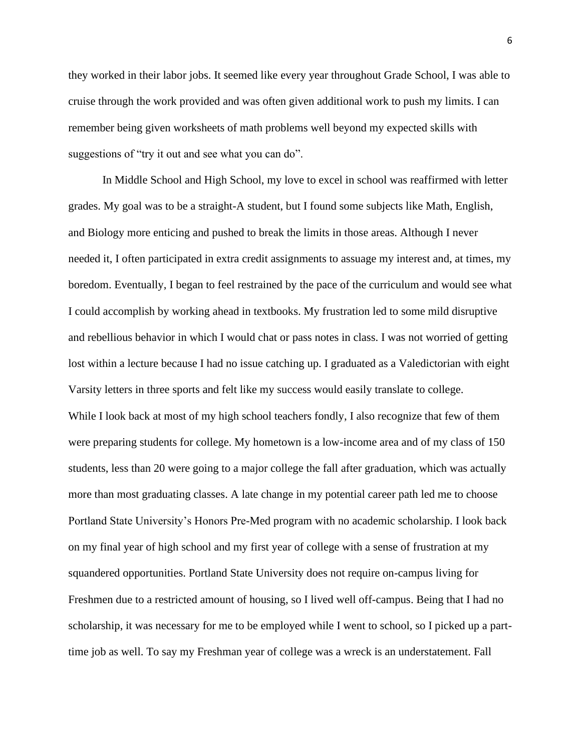they worked in their labor jobs. It seemed like every year throughout Grade School, I was able to cruise through the work provided and was often given additional work to push my limits. I can remember being given worksheets of math problems well beyond my expected skills with suggestions of "try it out and see what you can do".

In Middle School and High School, my love to excel in school was reaffirmed with letter grades. My goal was to be a straight-A student, but I found some subjects like Math, English, and Biology more enticing and pushed to break the limits in those areas. Although I never needed it, I often participated in extra credit assignments to assuage my interest and, at times, my boredom. Eventually, I began to feel restrained by the pace of the curriculum and would see what I could accomplish by working ahead in textbooks. My frustration led to some mild disruptive and rebellious behavior in which I would chat or pass notes in class. I was not worried of getting lost within a lecture because I had no issue catching up. I graduated as a Valedictorian with eight Varsity letters in three sports and felt like my success would easily translate to college. While I look back at most of my high school teachers fondly, I also recognize that few of them were preparing students for college. My hometown is a low-income area and of my class of 150 students, less than 20 were going to a major college the fall after graduation, which was actually more than most graduating classes. A late change in my potential career path led me to choose Portland State University's Honors Pre-Med program with no academic scholarship. I look back on my final year of high school and my first year of college with a sense of frustration at my squandered opportunities. Portland State University does not require on-campus living for Freshmen due to a restricted amount of housing, so I lived well off-campus. Being that I had no scholarship, it was necessary for me to be employed while I went to school, so I picked up a parttime job as well. To say my Freshman year of college was a wreck is an understatement. Fall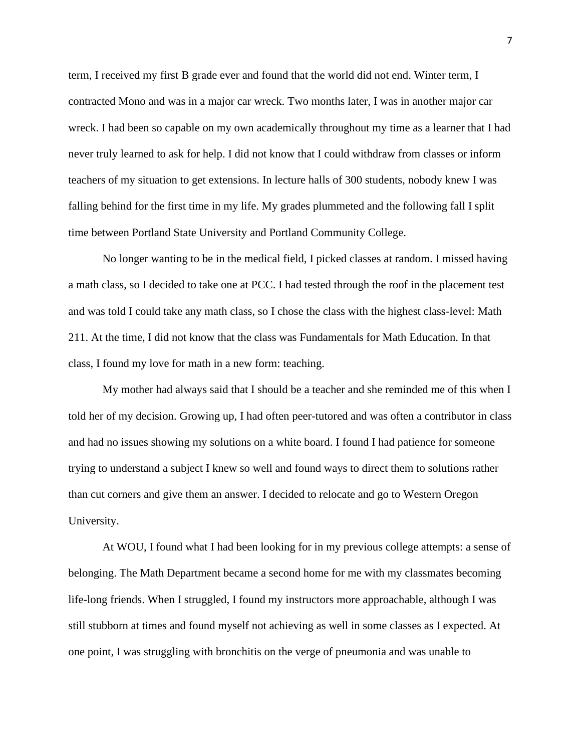term, I received my first B grade ever and found that the world did not end. Winter term, I contracted Mono and was in a major car wreck. Two months later, I was in another major car wreck. I had been so capable on my own academically throughout my time as a learner that I had never truly learned to ask for help. I did not know that I could withdraw from classes or inform teachers of my situation to get extensions. In lecture halls of 300 students, nobody knew I was falling behind for the first time in my life. My grades plummeted and the following fall I split time between Portland State University and Portland Community College.

No longer wanting to be in the medical field, I picked classes at random. I missed having a math class, so I decided to take one at PCC. I had tested through the roof in the placement test and was told I could take any math class, so I chose the class with the highest class-level: Math 211. At the time, I did not know that the class was Fundamentals for Math Education. In that class, I found my love for math in a new form: teaching.

My mother had always said that I should be a teacher and she reminded me of this when I told her of my decision. Growing up, I had often peer-tutored and was often a contributor in class and had no issues showing my solutions on a white board. I found I had patience for someone trying to understand a subject I knew so well and found ways to direct them to solutions rather than cut corners and give them an answer. I decided to relocate and go to Western Oregon University.

At WOU, I found what I had been looking for in my previous college attempts: a sense of belonging. The Math Department became a second home for me with my classmates becoming life-long friends. When I struggled, I found my instructors more approachable, although I was still stubborn at times and found myself not achieving as well in some classes as I expected. At one point, I was struggling with bronchitis on the verge of pneumonia and was unable to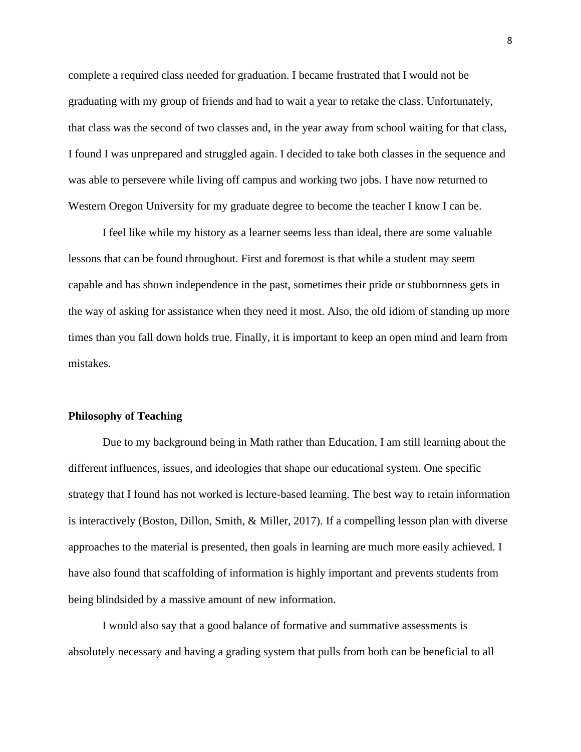complete a required class needed for graduation. I became frustrated that I would not be graduating with my group of friends and had to wait a year to retake the class. Unfortunately, that class was the second of two classes and, in the year away from school waiting for that class, I found I was unprepared and struggled again. I decided to take both classes in the sequence and was able to persevere while living off campus and working two jobs. I have now returned to Western Oregon University for my graduate degree to become the teacher I know I can be.

I feel like while my history as a learner seems less than ideal, there are some valuable lessons that can be found throughout. First and foremost is that while a student may seem capable and has shown independence in the past, sometimes their pride or stubbornness gets in the way of asking for assistance when they need it most. Also, the old idiom of standing up more times than you fall down holds true. Finally, it is important to keep an open mind and learn from mistakes.

#### <span id="page-9-0"></span>**Philosophy of Teaching**

Due to my background being in Math rather than Education, I am still learning about the different influences, issues, and ideologies that shape our educational system. One specific strategy that I found has not worked is lecture-based learning. The best way to retain information is interactively (Boston, Dillon, Smith, & Miller, 2017). If a compelling lesson plan with diverse approaches to the material is presented, then goals in learning are much more easily achieved. I have also found that scaffolding of information is highly important and prevents students from being blindsided by a massive amount of new information.

I would also say that a good balance of formative and summative assessments is absolutely necessary and having a grading system that pulls from both can be beneficial to all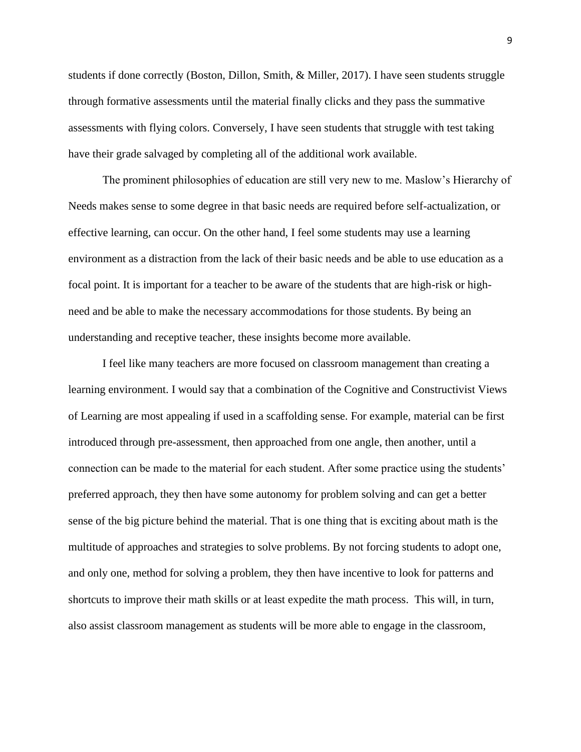students if done correctly (Boston, Dillon, Smith, & Miller, 2017). I have seen students struggle through formative assessments until the material finally clicks and they pass the summative assessments with flying colors. Conversely, I have seen students that struggle with test taking have their grade salvaged by completing all of the additional work available.

The prominent philosophies of education are still very new to me. Maslow's Hierarchy of Needs makes sense to some degree in that basic needs are required before self-actualization, or effective learning, can occur. On the other hand, I feel some students may use a learning environment as a distraction from the lack of their basic needs and be able to use education as a focal point. It is important for a teacher to be aware of the students that are high-risk or highneed and be able to make the necessary accommodations for those students. By being an understanding and receptive teacher, these insights become more available.

I feel like many teachers are more focused on classroom management than creating a learning environment. I would say that a combination of the Cognitive and Constructivist Views of Learning are most appealing if used in a scaffolding sense. For example, material can be first introduced through pre-assessment, then approached from one angle, then another, until a connection can be made to the material for each student. After some practice using the students' preferred approach, they then have some autonomy for problem solving and can get a better sense of the big picture behind the material. That is one thing that is exciting about math is the multitude of approaches and strategies to solve problems. By not forcing students to adopt one, and only one, method for solving a problem, they then have incentive to look for patterns and shortcuts to improve their math skills or at least expedite the math process. This will, in turn, also assist classroom management as students will be more able to engage in the classroom,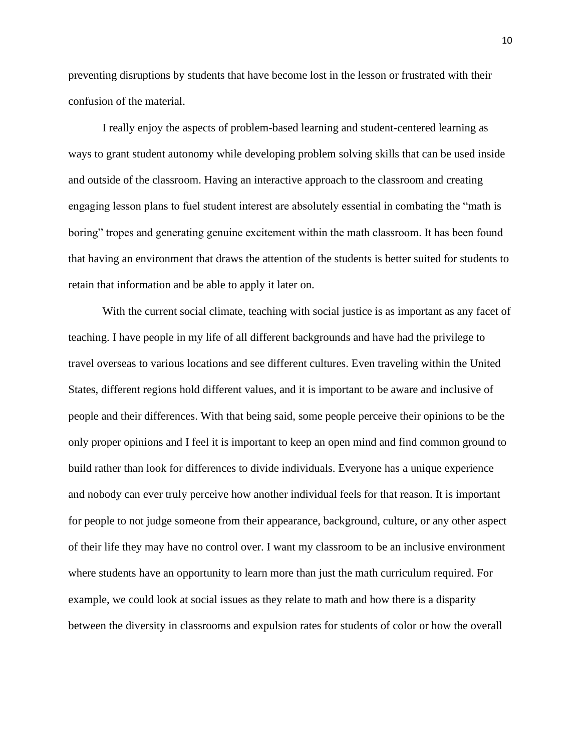preventing disruptions by students that have become lost in the lesson or frustrated with their confusion of the material.

I really enjoy the aspects of problem-based learning and student-centered learning as ways to grant student autonomy while developing problem solving skills that can be used inside and outside of the classroom. Having an interactive approach to the classroom and creating engaging lesson plans to fuel student interest are absolutely essential in combating the "math is boring" tropes and generating genuine excitement within the math classroom. It has been found that having an environment that draws the attention of the students is better suited for students to retain that information and be able to apply it later on.

With the current social climate, teaching with social justice is as important as any facet of teaching. I have people in my life of all different backgrounds and have had the privilege to travel overseas to various locations and see different cultures. Even traveling within the United States, different regions hold different values, and it is important to be aware and inclusive of people and their differences. With that being said, some people perceive their opinions to be the only proper opinions and I feel it is important to keep an open mind and find common ground to build rather than look for differences to divide individuals. Everyone has a unique experience and nobody can ever truly perceive how another individual feels for that reason. It is important for people to not judge someone from their appearance, background, culture, or any other aspect of their life they may have no control over. I want my classroom to be an inclusive environment where students have an opportunity to learn more than just the math curriculum required. For example, we could look at social issues as they relate to math and how there is a disparity between the diversity in classrooms and expulsion rates for students of color or how the overall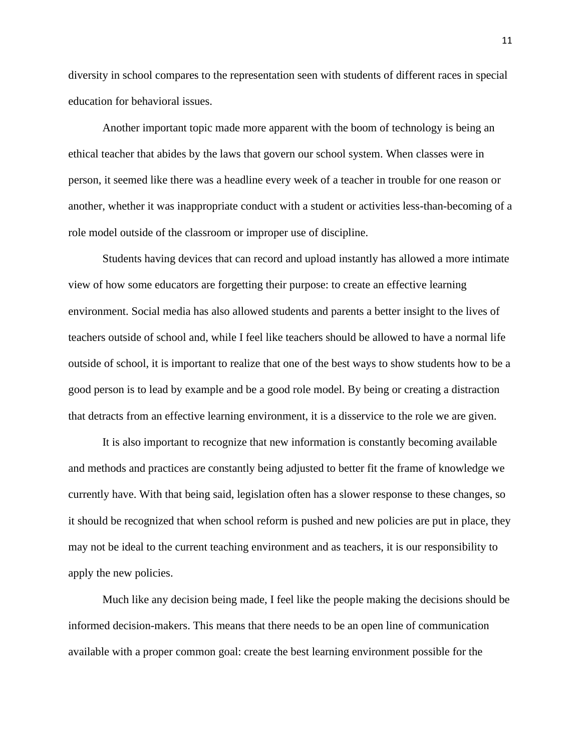diversity in school compares to the representation seen with students of different races in special education for behavioral issues.

Another important topic made more apparent with the boom of technology is being an ethical teacher that abides by the laws that govern our school system. When classes were in person, it seemed like there was a headline every week of a teacher in trouble for one reason or another, whether it was inappropriate conduct with a student or activities less-than-becoming of a role model outside of the classroom or improper use of discipline.

Students having devices that can record and upload instantly has allowed a more intimate view of how some educators are forgetting their purpose: to create an effective learning environment. Social media has also allowed students and parents a better insight to the lives of teachers outside of school and, while I feel like teachers should be allowed to have a normal life outside of school, it is important to realize that one of the best ways to show students how to be a good person is to lead by example and be a good role model. By being or creating a distraction that detracts from an effective learning environment, it is a disservice to the role we are given.

It is also important to recognize that new information is constantly becoming available and methods and practices are constantly being adjusted to better fit the frame of knowledge we currently have. With that being said, legislation often has a slower response to these changes, so it should be recognized that when school reform is pushed and new policies are put in place, they may not be ideal to the current teaching environment and as teachers, it is our responsibility to apply the new policies.

Much like any decision being made, I feel like the people making the decisions should be informed decision-makers. This means that there needs to be an open line of communication available with a proper common goal: create the best learning environment possible for the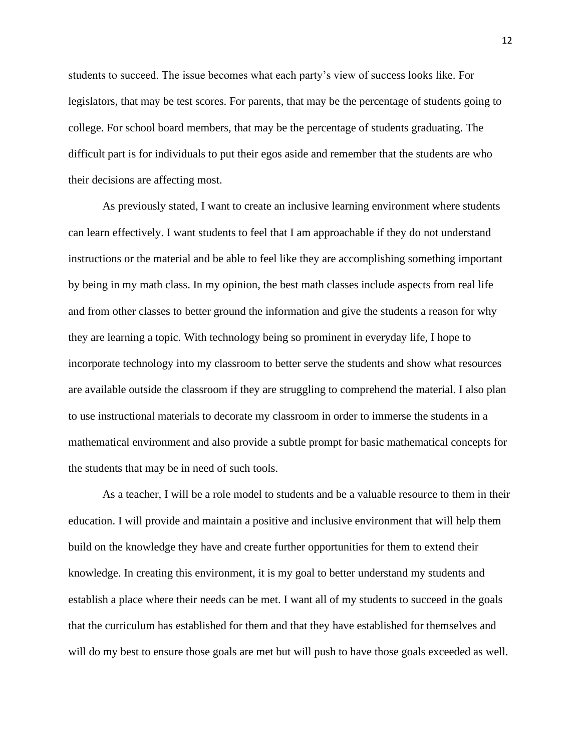students to succeed. The issue becomes what each party's view of success looks like. For legislators, that may be test scores. For parents, that may be the percentage of students going to college. For school board members, that may be the percentage of students graduating. The difficult part is for individuals to put their egos aside and remember that the students are who their decisions are affecting most.

As previously stated, I want to create an inclusive learning environment where students can learn effectively. I want students to feel that I am approachable if they do not understand instructions or the material and be able to feel like they are accomplishing something important by being in my math class. In my opinion, the best math classes include aspects from real life and from other classes to better ground the information and give the students a reason for why they are learning a topic. With technology being so prominent in everyday life, I hope to incorporate technology into my classroom to better serve the students and show what resources are available outside the classroom if they are struggling to comprehend the material. I also plan to use instructional materials to decorate my classroom in order to immerse the students in a mathematical environment and also provide a subtle prompt for basic mathematical concepts for the students that may be in need of such tools.

As a teacher, I will be a role model to students and be a valuable resource to them in their education. I will provide and maintain a positive and inclusive environment that will help them build on the knowledge they have and create further opportunities for them to extend their knowledge. In creating this environment, it is my goal to better understand my students and establish a place where their needs can be met. I want all of my students to succeed in the goals that the curriculum has established for them and that they have established for themselves and will do my best to ensure those goals are met but will push to have those goals exceeded as well.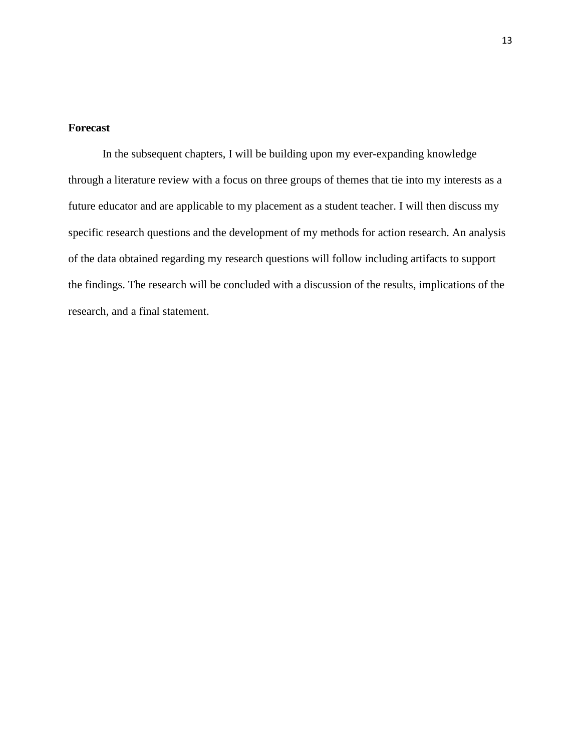#### <span id="page-14-0"></span>**Forecast**

In the subsequent chapters, I will be building upon my ever-expanding knowledge through a literature review with a focus on three groups of themes that tie into my interests as a future educator and are applicable to my placement as a student teacher. I will then discuss my specific research questions and the development of my methods for action research. An analysis of the data obtained regarding my research questions will follow including artifacts to support the findings. The research will be concluded with a discussion of the results, implications of the research, and a final statement.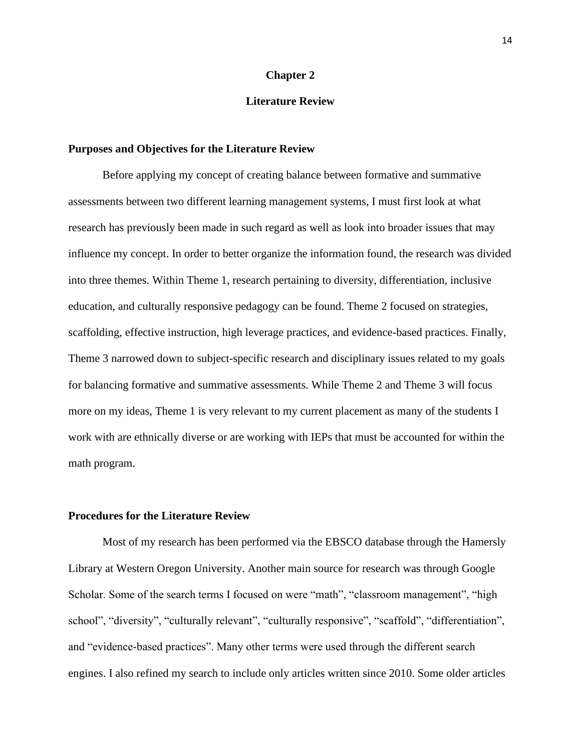#### **Chapter 2**

#### **Literature Review**

#### <span id="page-15-1"></span><span id="page-15-0"></span>**Purposes and Objectives for the Literature Review**

Before applying my concept of creating balance between formative and summative assessments between two different learning management systems, I must first look at what research has previously been made in such regard as well as look into broader issues that may influence my concept. In order to better organize the information found, the research was divided into three themes. Within Theme 1, research pertaining to diversity, differentiation, inclusive education, and culturally responsive pedagogy can be found. Theme 2 focused on strategies, scaffolding, effective instruction, high leverage practices, and evidence-based practices. Finally, Theme 3 narrowed down to subject-specific research and disciplinary issues related to my goals for balancing formative and summative assessments. While Theme 2 and Theme 3 will focus more on my ideas, Theme 1 is very relevant to my current placement as many of the students I work with are ethnically diverse or are working with IEPs that must be accounted for within the math program.

#### <span id="page-15-2"></span>**Procedures for the Literature Review**

Most of my research has been performed via the EBSCO database through the Hamersly Library at Western Oregon University. Another main source for research was through Google Scholar. Some of the search terms I focused on were "math", "classroom management", "high school", "diversity", "culturally relevant", "culturally responsive", "scaffold", "differentiation", and "evidence-based practices". Many other terms were used through the different search engines. I also refined my search to include only articles written since 2010. Some older articles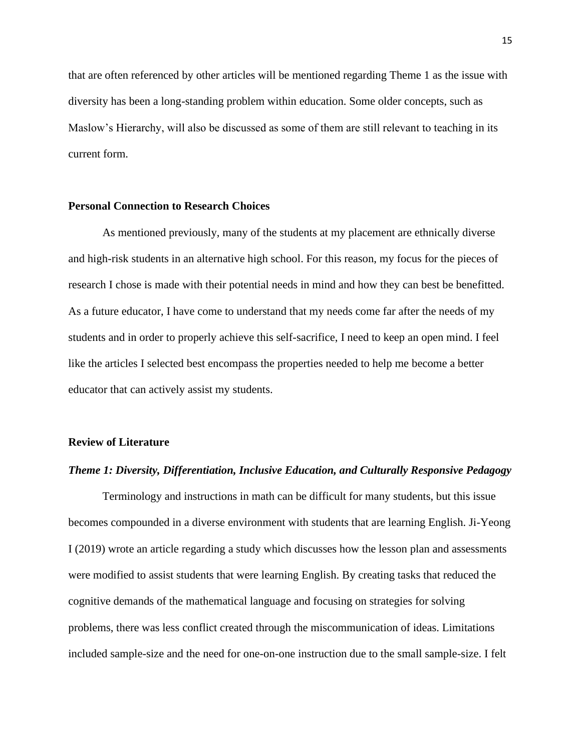that are often referenced by other articles will be mentioned regarding Theme 1 as the issue with diversity has been a long-standing problem within education. Some older concepts, such as Maslow's Hierarchy, will also be discussed as some of them are still relevant to teaching in its current form.

#### <span id="page-16-0"></span>**Personal Connection to Research Choices**

As mentioned previously, many of the students at my placement are ethnically diverse and high-risk students in an alternative high school. For this reason, my focus for the pieces of research I chose is made with their potential needs in mind and how they can best be benefitted. As a future educator, I have come to understand that my needs come far after the needs of my students and in order to properly achieve this self-sacrifice, I need to keep an open mind. I feel like the articles I selected best encompass the properties needed to help me become a better educator that can actively assist my students.

#### <span id="page-16-1"></span>**Review of Literature**

#### <span id="page-16-2"></span>*Theme 1: Diversity, Differentiation, Inclusive Education, and Culturally Responsive Pedagogy*

Terminology and instructions in math can be difficult for many students, but this issue becomes compounded in a diverse environment with students that are learning English. Ji-Yeong I (2019) wrote an article regarding a study which discusses how the lesson plan and assessments were modified to assist students that were learning English. By creating tasks that reduced the cognitive demands of the mathematical language and focusing on strategies for solving problems, there was less conflict created through the miscommunication of ideas. Limitations included sample-size and the need for one-on-one instruction due to the small sample-size. I felt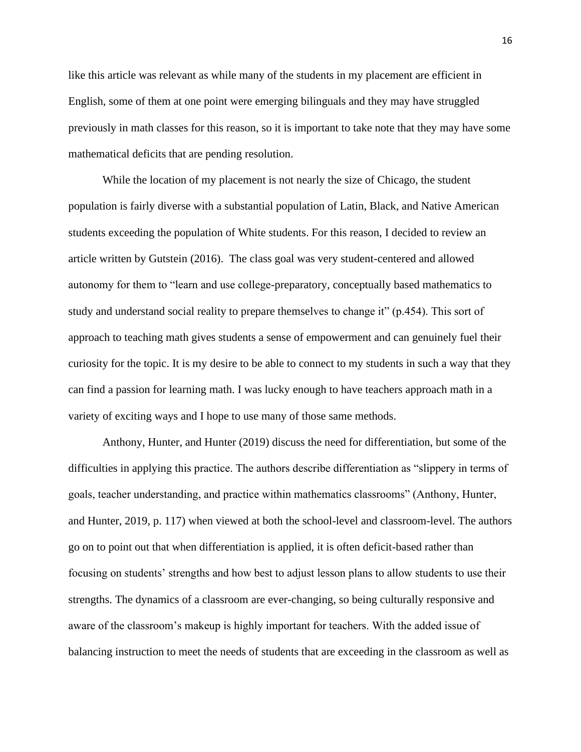like this article was relevant as while many of the students in my placement are efficient in English, some of them at one point were emerging bilinguals and they may have struggled previously in math classes for this reason, so it is important to take note that they may have some mathematical deficits that are pending resolution.

While the location of my placement is not nearly the size of Chicago, the student population is fairly diverse with a substantial population of Latin, Black, and Native American students exceeding the population of White students. For this reason, I decided to review an article written by Gutstein (2016). The class goal was very student-centered and allowed autonomy for them to "learn and use college-preparatory, conceptually based mathematics to study and understand social reality to prepare themselves to change it" (p.454). This sort of approach to teaching math gives students a sense of empowerment and can genuinely fuel their curiosity for the topic. It is my desire to be able to connect to my students in such a way that they can find a passion for learning math. I was lucky enough to have teachers approach math in a variety of exciting ways and I hope to use many of those same methods.

Anthony, Hunter, and Hunter (2019) discuss the need for differentiation, but some of the difficulties in applying this practice. The authors describe differentiation as "slippery in terms of goals, teacher understanding, and practice within mathematics classrooms" (Anthony, Hunter, and Hunter, 2019, p. 117) when viewed at both the school-level and classroom-level. The authors go on to point out that when differentiation is applied, it is often deficit-based rather than focusing on students' strengths and how best to adjust lesson plans to allow students to use their strengths. The dynamics of a classroom are ever-changing, so being culturally responsive and aware of the classroom's makeup is highly important for teachers. With the added issue of balancing instruction to meet the needs of students that are exceeding in the classroom as well as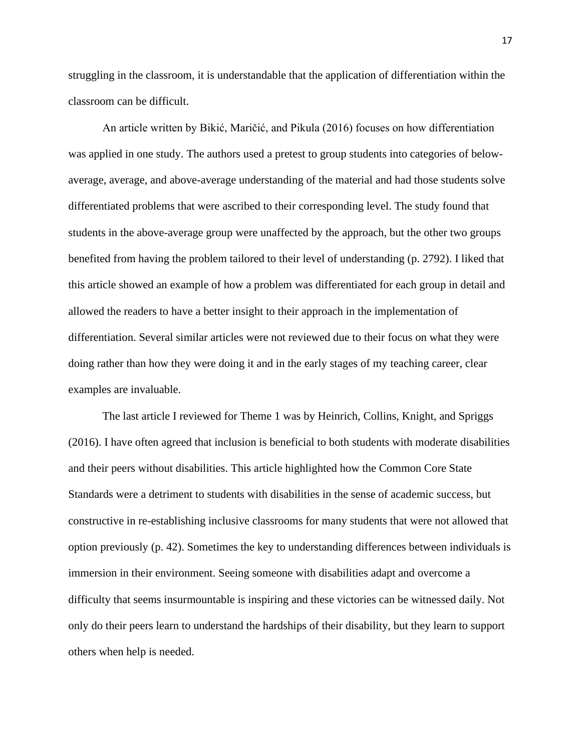struggling in the classroom, it is understandable that the application of differentiation within the classroom can be difficult.

An article written by Bikić, Maričić, and Pikula (2016) focuses on how differentiation was applied in one study. The authors used a pretest to group students into categories of belowaverage, average, and above-average understanding of the material and had those students solve differentiated problems that were ascribed to their corresponding level. The study found that students in the above-average group were unaffected by the approach, but the other two groups benefited from having the problem tailored to their level of understanding (p. 2792). I liked that this article showed an example of how a problem was differentiated for each group in detail and allowed the readers to have a better insight to their approach in the implementation of differentiation. Several similar articles were not reviewed due to their focus on what they were doing rather than how they were doing it and in the early stages of my teaching career, clear examples are invaluable.

The last article I reviewed for Theme 1 was by Heinrich, Collins, Knight, and Spriggs (2016). I have often agreed that inclusion is beneficial to both students with moderate disabilities and their peers without disabilities. This article highlighted how the Common Core State Standards were a detriment to students with disabilities in the sense of academic success, but constructive in re-establishing inclusive classrooms for many students that were not allowed that option previously (p. 42). Sometimes the key to understanding differences between individuals is immersion in their environment. Seeing someone with disabilities adapt and overcome a difficulty that seems insurmountable is inspiring and these victories can be witnessed daily. Not only do their peers learn to understand the hardships of their disability, but they learn to support others when help is needed.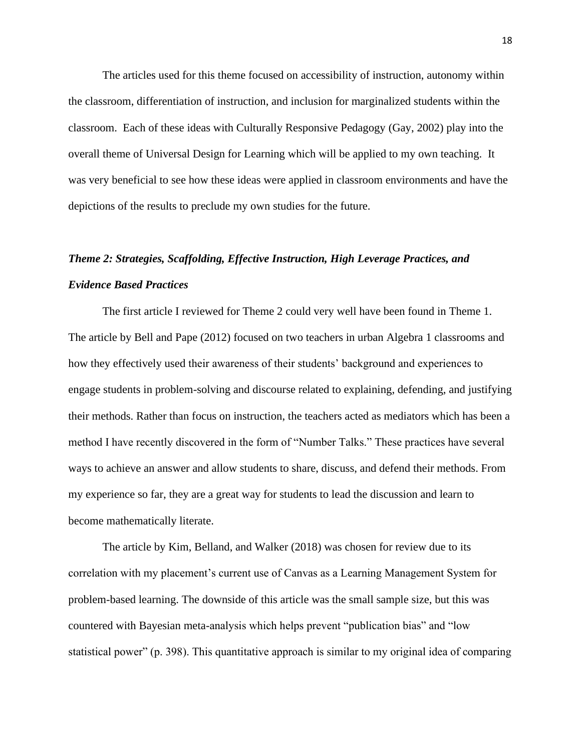The articles used for this theme focused on accessibility of instruction, autonomy within the classroom, differentiation of instruction, and inclusion for marginalized students within the classroom. Each of these ideas with Culturally Responsive Pedagogy (Gay, 2002) play into the overall theme of Universal Design for Learning which will be applied to my own teaching. It was very beneficial to see how these ideas were applied in classroom environments and have the depictions of the results to preclude my own studies for the future.

## <span id="page-19-0"></span>*Theme 2: Strategies, Scaffolding, Effective Instruction, High Leverage Practices, and Evidence Based Practices*

The first article I reviewed for Theme 2 could very well have been found in Theme 1. The article by Bell and Pape (2012) focused on two teachers in urban Algebra 1 classrooms and how they effectively used their awareness of their students' background and experiences to engage students in problem-solving and discourse related to explaining, defending, and justifying their methods. Rather than focus on instruction, the teachers acted as mediators which has been a method I have recently discovered in the form of "Number Talks." These practices have several ways to achieve an answer and allow students to share, discuss, and defend their methods. From my experience so far, they are a great way for students to lead the discussion and learn to become mathematically literate.

The article by Kim, Belland, and Walker (2018) was chosen for review due to its correlation with my placement's current use of Canvas as a Learning Management System for problem-based learning. The downside of this article was the small sample size, but this was countered with Bayesian meta-analysis which helps prevent "publication bias" and "low statistical power" (p. 398). This quantitative approach is similar to my original idea of comparing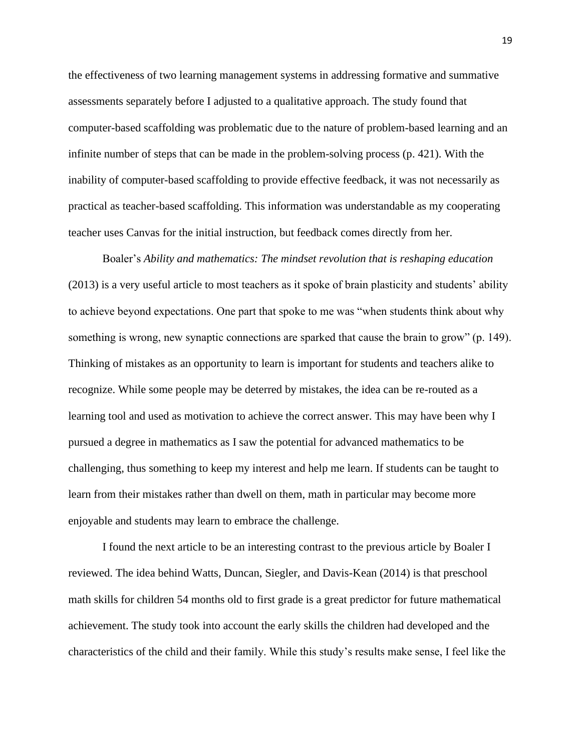the effectiveness of two learning management systems in addressing formative and summative assessments separately before I adjusted to a qualitative approach. The study found that computer-based scaffolding was problematic due to the nature of problem-based learning and an infinite number of steps that can be made in the problem-solving process (p. 421). With the inability of computer-based scaffolding to provide effective feedback, it was not necessarily as practical as teacher-based scaffolding. This information was understandable as my cooperating teacher uses Canvas for the initial instruction, but feedback comes directly from her.

Boaler's *Ability and mathematics: The mindset revolution that is reshaping education*  (2013) is a very useful article to most teachers as it spoke of brain plasticity and students' ability to achieve beyond expectations. One part that spoke to me was "when students think about why something is wrong, new synaptic connections are sparked that cause the brain to grow" (p. 149). Thinking of mistakes as an opportunity to learn is important for students and teachers alike to recognize. While some people may be deterred by mistakes, the idea can be re-routed as a learning tool and used as motivation to achieve the correct answer. This may have been why I pursued a degree in mathematics as I saw the potential for advanced mathematics to be challenging, thus something to keep my interest and help me learn. If students can be taught to learn from their mistakes rather than dwell on them, math in particular may become more enjoyable and students may learn to embrace the challenge.

I found the next article to be an interesting contrast to the previous article by Boaler I reviewed. The idea behind Watts, Duncan, Siegler, and Davis-Kean (2014) is that preschool math skills for children 54 months old to first grade is a great predictor for future mathematical achievement. The study took into account the early skills the children had developed and the characteristics of the child and their family. While this study's results make sense, I feel like the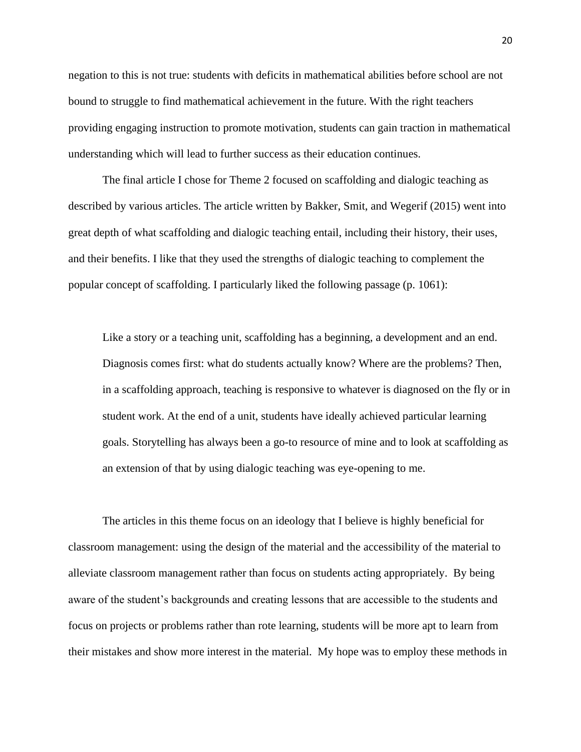negation to this is not true: students with deficits in mathematical abilities before school are not bound to struggle to find mathematical achievement in the future. With the right teachers providing engaging instruction to promote motivation, students can gain traction in mathematical understanding which will lead to further success as their education continues.

The final article I chose for Theme 2 focused on scaffolding and dialogic teaching as described by various articles. The article written by Bakker, Smit, and Wegerif (2015) went into great depth of what scaffolding and dialogic teaching entail, including their history, their uses, and their benefits. I like that they used the strengths of dialogic teaching to complement the popular concept of scaffolding. I particularly liked the following passage (p. 1061):

Like a story or a teaching unit, scaffolding has a beginning, a development and an end. Diagnosis comes first: what do students actually know? Where are the problems? Then, in a scaffolding approach, teaching is responsive to whatever is diagnosed on the fly or in student work. At the end of a unit, students have ideally achieved particular learning goals. Storytelling has always been a go-to resource of mine and to look at scaffolding as an extension of that by using dialogic teaching was eye-opening to me.

The articles in this theme focus on an ideology that I believe is highly beneficial for classroom management: using the design of the material and the accessibility of the material to alleviate classroom management rather than focus on students acting appropriately. By being aware of the student's backgrounds and creating lessons that are accessible to the students and focus on projects or problems rather than rote learning, students will be more apt to learn from their mistakes and show more interest in the material. My hope was to employ these methods in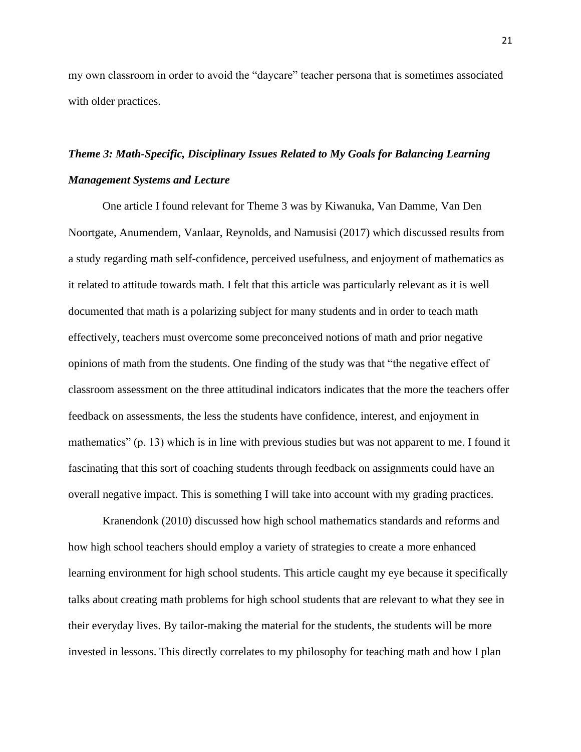my own classroom in order to avoid the "daycare" teacher persona that is sometimes associated with older practices.

## <span id="page-22-0"></span>*Theme 3: Math-Specific, Disciplinary Issues Related to My Goals for Balancing Learning Management Systems and Lecture*

One article I found relevant for Theme 3 was by Kiwanuka, Van Damme, Van Den Noortgate, Anumendem, Vanlaar, Reynolds, and Namusisi (2017) which discussed results from a study regarding math self-confidence, perceived usefulness, and enjoyment of mathematics as it related to attitude towards math. I felt that this article was particularly relevant as it is well documented that math is a polarizing subject for many students and in order to teach math effectively, teachers must overcome some preconceived notions of math and prior negative opinions of math from the students. One finding of the study was that "the negative effect of classroom assessment on the three attitudinal indicators indicates that the more the teachers offer feedback on assessments, the less the students have confidence, interest, and enjoyment in mathematics" (p. 13) which is in line with previous studies but was not apparent to me. I found it fascinating that this sort of coaching students through feedback on assignments could have an overall negative impact. This is something I will take into account with my grading practices.

Kranendonk (2010) discussed how high school mathematics standards and reforms and how high school teachers should employ a variety of strategies to create a more enhanced learning environment for high school students. This article caught my eye because it specifically talks about creating math problems for high school students that are relevant to what they see in their everyday lives. By tailor-making the material for the students, the students will be more invested in lessons. This directly correlates to my philosophy for teaching math and how I plan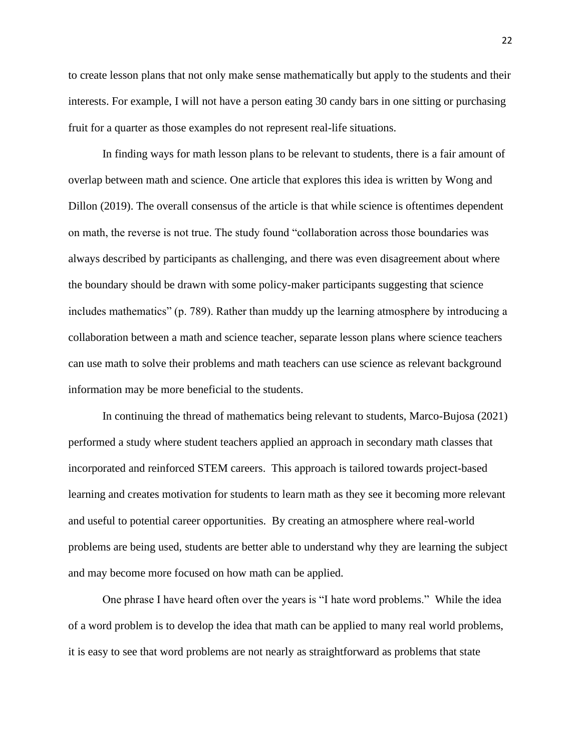to create lesson plans that not only make sense mathematically but apply to the students and their interests. For example, I will not have a person eating 30 candy bars in one sitting or purchasing fruit for a quarter as those examples do not represent real-life situations.

In finding ways for math lesson plans to be relevant to students, there is a fair amount of overlap between math and science. One article that explores this idea is written by Wong and Dillon (2019). The overall consensus of the article is that while science is oftentimes dependent on math, the reverse is not true. The study found "collaboration across those boundaries was always described by participants as challenging, and there was even disagreement about where the boundary should be drawn with some policy-maker participants suggesting that science includes mathematics" (p. 789). Rather than muddy up the learning atmosphere by introducing a collaboration between a math and science teacher, separate lesson plans where science teachers can use math to solve their problems and math teachers can use science as relevant background information may be more beneficial to the students.

In continuing the thread of mathematics being relevant to students, Marco-Bujosa (2021) performed a study where student teachers applied an approach in secondary math classes that incorporated and reinforced STEM careers. This approach is tailored towards project-based learning and creates motivation for students to learn math as they see it becoming more relevant and useful to potential career opportunities. By creating an atmosphere where real-world problems are being used, students are better able to understand why they are learning the subject and may become more focused on how math can be applied.

One phrase I have heard often over the years is "I hate word problems." While the idea of a word problem is to develop the idea that math can be applied to many real world problems, it is easy to see that word problems are not nearly as straightforward as problems that state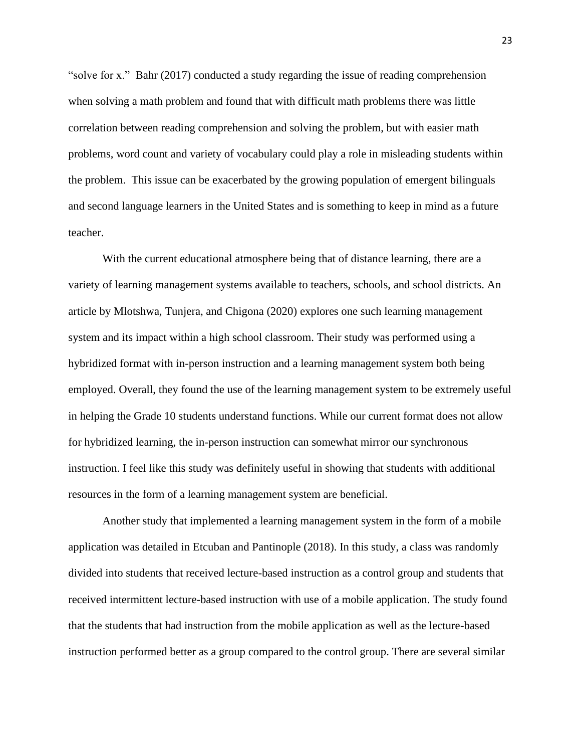"solve for x." Bahr (2017) conducted a study regarding the issue of reading comprehension when solving a math problem and found that with difficult math problems there was little correlation between reading comprehension and solving the problem, but with easier math problems, word count and variety of vocabulary could play a role in misleading students within the problem. This issue can be exacerbated by the growing population of emergent bilinguals and second language learners in the United States and is something to keep in mind as a future teacher.

With the current educational atmosphere being that of distance learning, there are a variety of learning management systems available to teachers, schools, and school districts. An article by Mlotshwa, Tunjera, and Chigona (2020) explores one such learning management system and its impact within a high school classroom. Their study was performed using a hybridized format with in-person instruction and a learning management system both being employed. Overall, they found the use of the learning management system to be extremely useful in helping the Grade 10 students understand functions. While our current format does not allow for hybridized learning, the in-person instruction can somewhat mirror our synchronous instruction. I feel like this study was definitely useful in showing that students with additional resources in the form of a learning management system are beneficial.

Another study that implemented a learning management system in the form of a mobile application was detailed in Etcuban and Pantinople (2018). In this study, a class was randomly divided into students that received lecture-based instruction as a control group and students that received intermittent lecture-based instruction with use of a mobile application. The study found that the students that had instruction from the mobile application as well as the lecture-based instruction performed better as a group compared to the control group. There are several similar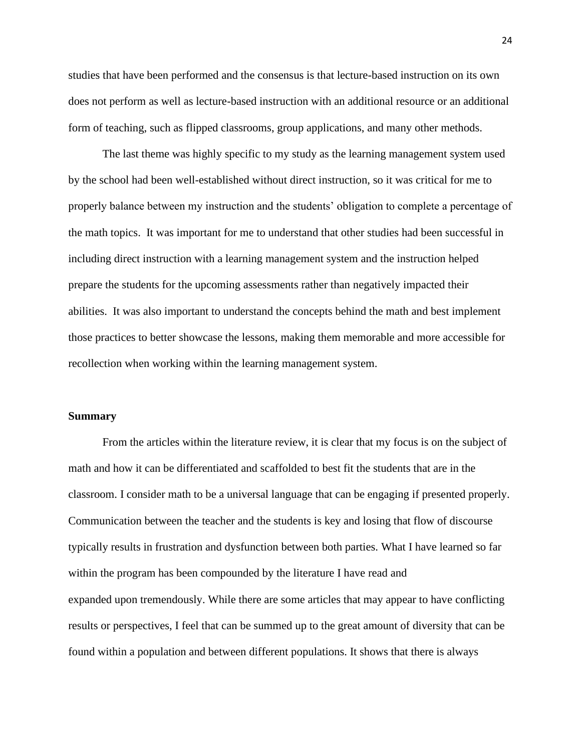studies that have been performed and the consensus is that lecture-based instruction on its own does not perform as well as lecture-based instruction with an additional resource or an additional form of teaching, such as flipped classrooms, group applications, and many other methods.

The last theme was highly specific to my study as the learning management system used by the school had been well-established without direct instruction, so it was critical for me to properly balance between my instruction and the students' obligation to complete a percentage of the math topics. It was important for me to understand that other studies had been successful in including direct instruction with a learning management system and the instruction helped prepare the students for the upcoming assessments rather than negatively impacted their abilities. It was also important to understand the concepts behind the math and best implement those practices to better showcase the lessons, making them memorable and more accessible for recollection when working within the learning management system.

#### <span id="page-25-0"></span>**Summary**

From the articles within the literature review, it is clear that my focus is on the subject of math and how it can be differentiated and scaffolded to best fit the students that are in the classroom. I consider math to be a universal language that can be engaging if presented properly. Communication between the teacher and the students is key and losing that flow of discourse typically results in frustration and dysfunction between both parties. What I have learned so far within the program has been compounded by the literature I have read and expanded upon tremendously. While there are some articles that may appear to have conflicting results or perspectives, I feel that can be summed up to the great amount of diversity that can be found within a population and between different populations. It shows that there is always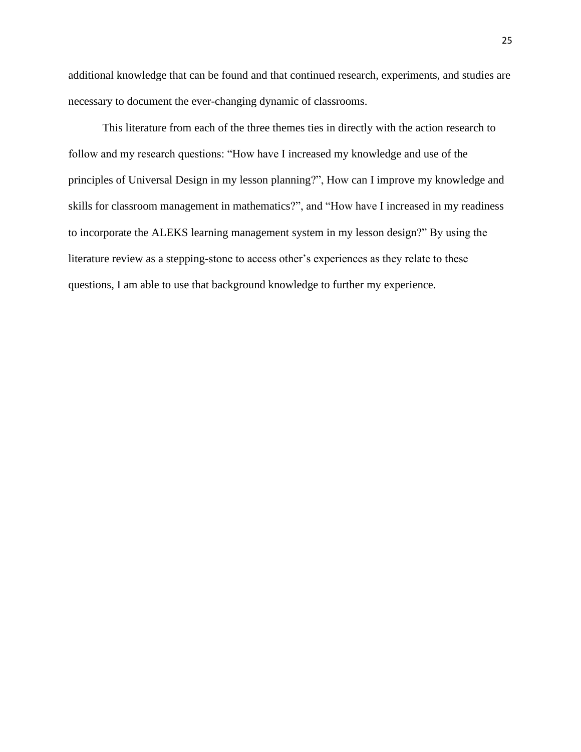additional knowledge that can be found and that continued research, experiments, and studies are necessary to document the ever-changing dynamic of classrooms.

This literature from each of the three themes ties in directly with the action research to follow and my research questions: "How have I increased my knowledge and use of the principles of Universal Design in my lesson planning?", How can I improve my knowledge and skills for classroom management in mathematics?", and "How have I increased in my readiness to incorporate the ALEKS learning management system in my lesson design?" By using the literature review as a stepping-stone to access other's experiences as they relate to these questions, I am able to use that background knowledge to further my experience.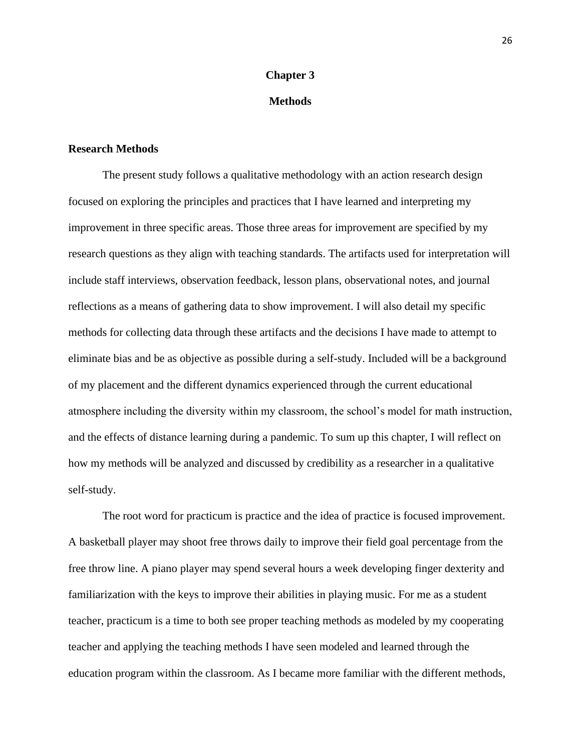#### **Chapter 3**

#### **Methods**

#### <span id="page-27-1"></span><span id="page-27-0"></span>**Research Methods**

The present study follows a qualitative methodology with an action research design focused on exploring the principles and practices that I have learned and interpreting my improvement in three specific areas. Those three areas for improvement are specified by my research questions as they align with teaching standards. The artifacts used for interpretation will include staff interviews, observation feedback, lesson plans, observational notes, and journal reflections as a means of gathering data to show improvement. I will also detail my specific methods for collecting data through these artifacts and the decisions I have made to attempt to eliminate bias and be as objective as possible during a self-study. Included will be a background of my placement and the different dynamics experienced through the current educational atmosphere including the diversity within my classroom, the school's model for math instruction, and the effects of distance learning during a pandemic. To sum up this chapter, I will reflect on how my methods will be analyzed and discussed by credibility as a researcher in a qualitative self-study.

The root word for practicum is practice and the idea of practice is focused improvement. A basketball player may shoot free throws daily to improve their field goal percentage from the free throw line. A piano player may spend several hours a week developing finger dexterity and familiarization with the keys to improve their abilities in playing music. For me as a student teacher, practicum is a time to both see proper teaching methods as modeled by my cooperating teacher and applying the teaching methods I have seen modeled and learned through the education program within the classroom. As I became more familiar with the different methods,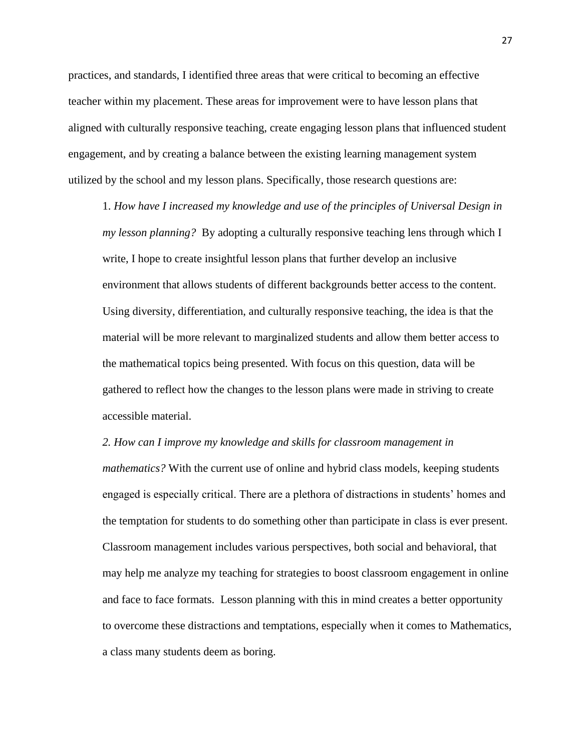practices, and standards, I identified three areas that were critical to becoming an effective teacher within my placement. These areas for improvement were to have lesson plans that aligned with culturally responsive teaching, create engaging lesson plans that influenced student engagement, and by creating a balance between the existing learning management system utilized by the school and my lesson plans. Specifically, those research questions are:

1. *How have I increased my knowledge and use of the principles of Universal Design in my lesson planning?* By adopting a culturally responsive teaching lens through which I write, I hope to create insightful lesson plans that further develop an inclusive environment that allows students of different backgrounds better access to the content. Using diversity, differentiation, and culturally responsive teaching, the idea is that the material will be more relevant to marginalized students and allow them better access to the mathematical topics being presented. With focus on this question, data will be gathered to reflect how the changes to the lesson plans were made in striving to create accessible material.

*2. How can I improve my knowledge and skills for classroom management in* 

*mathematics?* With the current use of online and hybrid class models, keeping students engaged is especially critical. There are a plethora of distractions in students' homes and the temptation for students to do something other than participate in class is ever present. Classroom management includes various perspectives, both social and behavioral, that may help me analyze my teaching for strategies to boost classroom engagement in online and face to face formats. Lesson planning with this in mind creates a better opportunity to overcome these distractions and temptations, especially when it comes to Mathematics, a class many students deem as boring.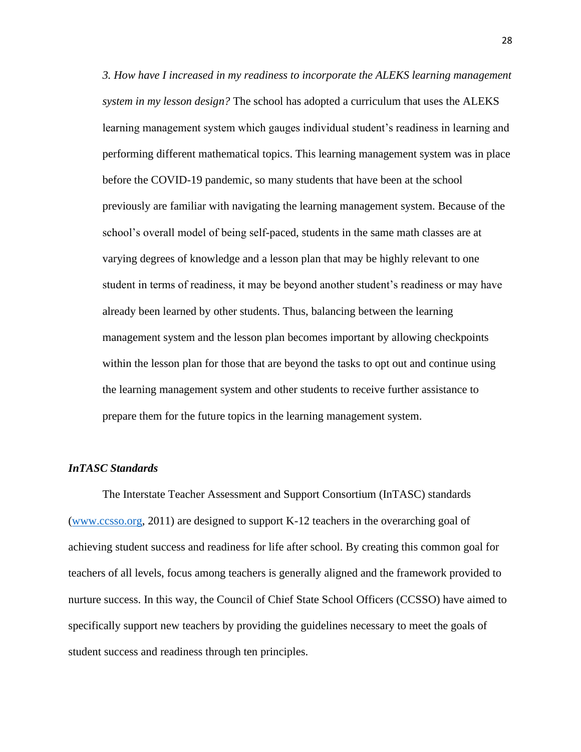*3. How have I increased in my readiness to incorporate the ALEKS learning management system in my lesson design?* The school has adopted a curriculum that uses the ALEKS learning management system which gauges individual student's readiness in learning and performing different mathematical topics. This learning management system was in place before the COVID-19 pandemic, so many students that have been at the school previously are familiar with navigating the learning management system. Because of the school's overall model of being self-paced, students in the same math classes are at varying degrees of knowledge and a lesson plan that may be highly relevant to one student in terms of readiness, it may be beyond another student's readiness or may have already been learned by other students. Thus, balancing between the learning management system and the lesson plan becomes important by allowing checkpoints within the lesson plan for those that are beyond the tasks to opt out and continue using the learning management system and other students to receive further assistance to prepare them for the future topics in the learning management system.

#### <span id="page-29-0"></span>*InTASC Standards*

The Interstate Teacher Assessment and Support Consortium (InTASC) standards [\(www.ccsso.org,](http://www.ccsso.org/) 2011) are designed to support K-12 teachers in the overarching goal of achieving student success and readiness for life after school. By creating this common goal for teachers of all levels, focus among teachers is generally aligned and the framework provided to nurture success. In this way, the Council of Chief State School Officers (CCSSO) have aimed to specifically support new teachers by providing the guidelines necessary to meet the goals of student success and readiness through ten principles.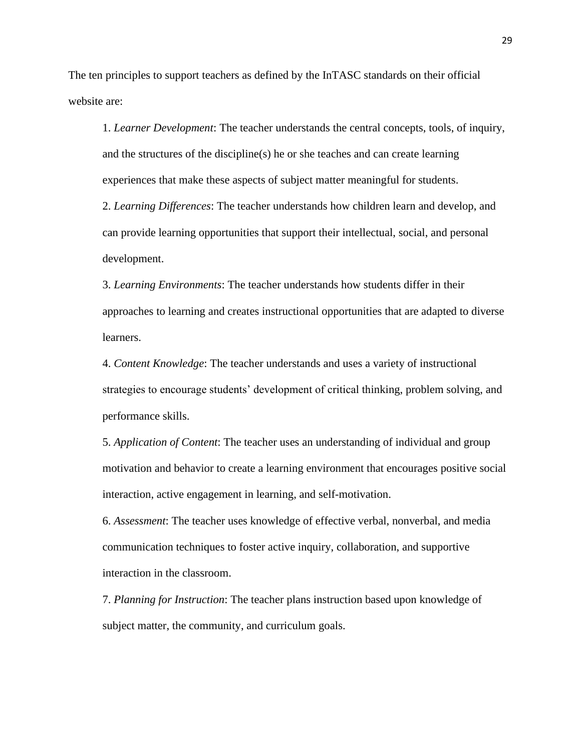The ten principles to support teachers as defined by the InTASC standards on their official website are:

1. *Learner Development*: The teacher understands the central concepts, tools, of inquiry, and the structures of the discipline(s) he or she teaches and can create learning experiences that make these aspects of subject matter meaningful for students.

2. *Learning Differences*: The teacher understands how children learn and develop, and can provide learning opportunities that support their intellectual, social, and personal development.

3. *Learning Environments*: The teacher understands how students differ in their approaches to learning and creates instructional opportunities that are adapted to diverse learners.

4. *Content Knowledge*: The teacher understands and uses a variety of instructional strategies to encourage students' development of critical thinking, problem solving, and performance skills.

5. *Application of Content*: The teacher uses an understanding of individual and group motivation and behavior to create a learning environment that encourages positive social interaction, active engagement in learning, and self-motivation.

6. *Assessment*: The teacher uses knowledge of effective verbal, nonverbal, and media communication techniques to foster active inquiry, collaboration, and supportive interaction in the classroom.

7. *Planning for Instruction*: The teacher plans instruction based upon knowledge of subject matter, the community, and curriculum goals.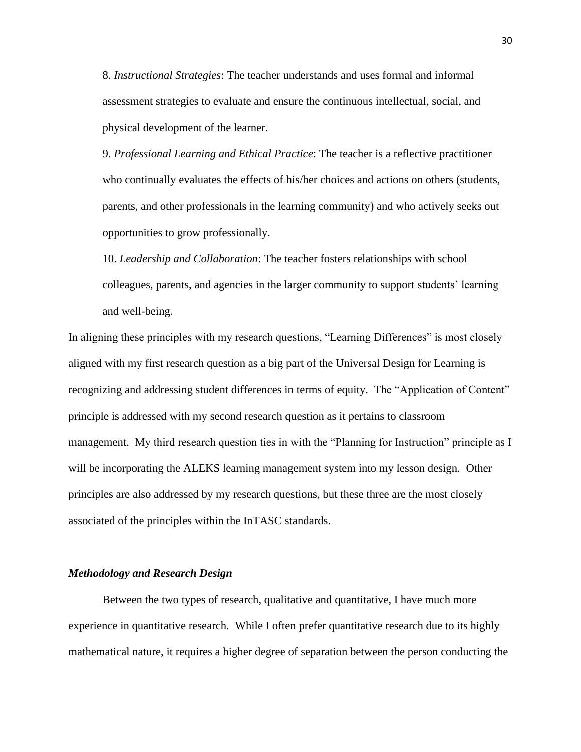8. *Instructional Strategies*: The teacher understands and uses formal and informal assessment strategies to evaluate and ensure the continuous intellectual, social, and physical development of the learner.

9. *Professional Learning and Ethical Practice*: The teacher is a reflective practitioner who continually evaluates the effects of his/her choices and actions on others (students, parents, and other professionals in the learning community) and who actively seeks out opportunities to grow professionally.

10. *Leadership and Collaboration*: The teacher fosters relationships with school colleagues, parents, and agencies in the larger community to support students' learning and well-being.

In aligning these principles with my research questions, "Learning Differences" is most closely aligned with my first research question as a big part of the Universal Design for Learning is recognizing and addressing student differences in terms of equity. The "Application of Content" principle is addressed with my second research question as it pertains to classroom management. My third research question ties in with the "Planning for Instruction" principle as I will be incorporating the ALEKS learning management system into my lesson design. Other principles are also addressed by my research questions, but these three are the most closely associated of the principles within the InTASC standards.

#### <span id="page-31-0"></span>*Methodology and Research Design*

Between the two types of research, qualitative and quantitative, I have much more experience in quantitative research. While I often prefer quantitative research due to its highly mathematical nature, it requires a higher degree of separation between the person conducting the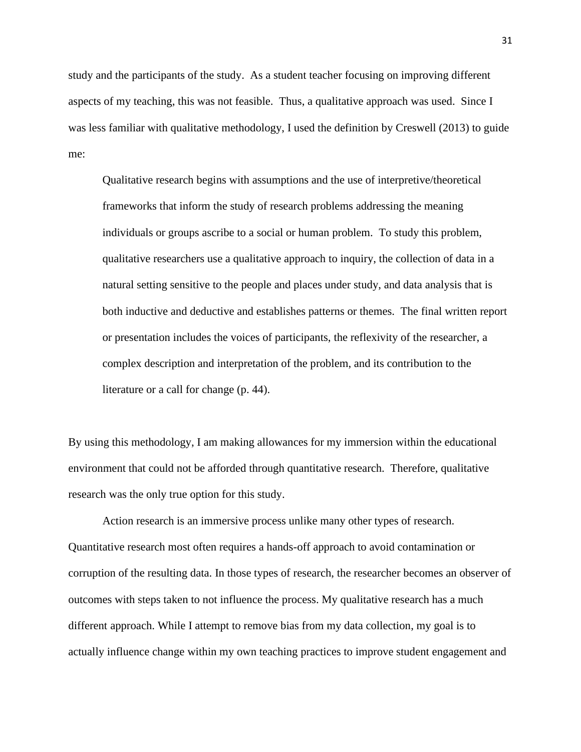study and the participants of the study. As a student teacher focusing on improving different aspects of my teaching, this was not feasible. Thus, a qualitative approach was used. Since I was less familiar with qualitative methodology, I used the definition by Creswell (2013) to guide me:

Qualitative research begins with assumptions and the use of interpretive/theoretical frameworks that inform the study of research problems addressing the meaning individuals or groups ascribe to a social or human problem. To study this problem, qualitative researchers use a qualitative approach to inquiry, the collection of data in a natural setting sensitive to the people and places under study, and data analysis that is both inductive and deductive and establishes patterns or themes. The final written report or presentation includes the voices of participants, the reflexivity of the researcher, a complex description and interpretation of the problem, and its contribution to the literature or a call for change (p. 44).

By using this methodology, I am making allowances for my immersion within the educational environment that could not be afforded through quantitative research. Therefore, qualitative research was the only true option for this study.

Action research is an immersive process unlike many other types of research. Quantitative research most often requires a hands-off approach to avoid contamination or corruption of the resulting data. In those types of research, the researcher becomes an observer of outcomes with steps taken to not influence the process. My qualitative research has a much different approach. While I attempt to remove bias from my data collection, my goal is to actually influence change within my own teaching practices to improve student engagement and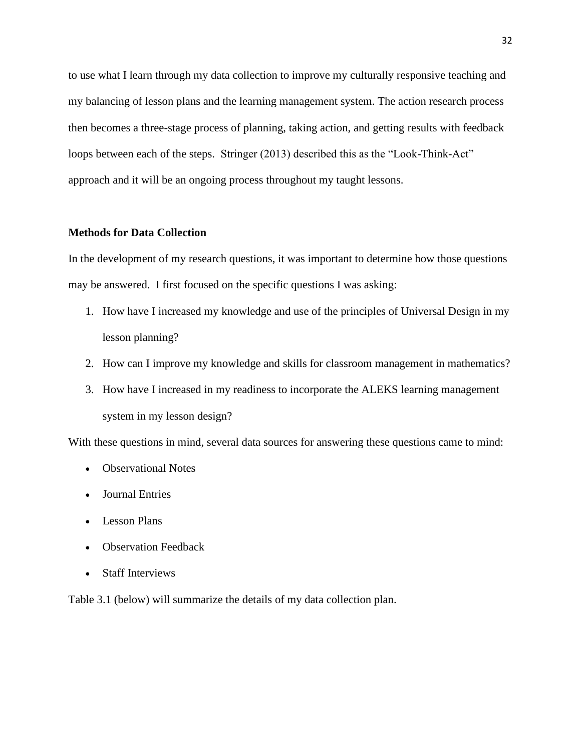to use what I learn through my data collection to improve my culturally responsive teaching and my balancing of lesson plans and the learning management system. The action research process then becomes a three-stage process of planning, taking action, and getting results with feedback loops between each of the steps. Stringer (2013) described this as the "Look-Think-Act" approach and it will be an ongoing process throughout my taught lessons.

#### <span id="page-33-0"></span>**Methods for Data Collection**

In the development of my research questions, it was important to determine how those questions may be answered. I first focused on the specific questions I was asking:

- 1. How have I increased my knowledge and use of the principles of Universal Design in my lesson planning?
- 2. How can I improve my knowledge and skills for classroom management in mathematics?
- 3. How have I increased in my readiness to incorporate the ALEKS learning management system in my lesson design?

With these questions in mind, several data sources for answering these questions came to mind:

- Observational Notes
- Journal Entries
- Lesson Plans
- Observation Feedback
- Staff Interviews

Table 3.1 (below) will summarize the details of my data collection plan.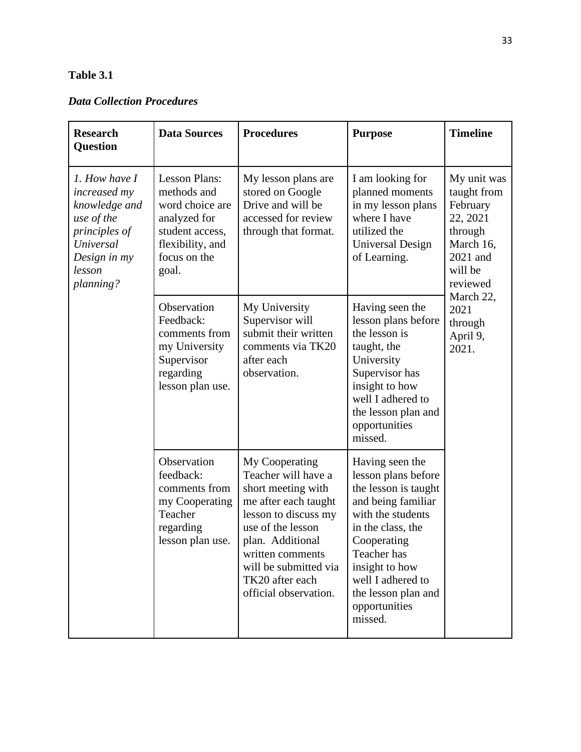### **Table 3.1**

### *Data Collection Procedures*

| <b>Research</b><br><b>Question</b>                                                                                                | <b>Data Sources</b>                                                                                                                    | <b>Procedures</b>                                                                                                                                                                                                                             | <b>Purpose</b>                                                                                                                                                                                                                                         | <b>Timeline</b>                                                                                                                                                    |
|-----------------------------------------------------------------------------------------------------------------------------------|----------------------------------------------------------------------------------------------------------------------------------------|-----------------------------------------------------------------------------------------------------------------------------------------------------------------------------------------------------------------------------------------------|--------------------------------------------------------------------------------------------------------------------------------------------------------------------------------------------------------------------------------------------------------|--------------------------------------------------------------------------------------------------------------------------------------------------------------------|
| 1. How have I<br>increased my<br>knowledge and<br>use of the<br>principles of<br>Universal<br>Design in my<br>lesson<br>planning? | <b>Lesson Plans:</b><br>methods and<br>word choice are<br>analyzed for<br>student access,<br>flexibility, and<br>focus on the<br>goal. | My lesson plans are<br>stored on Google<br>Drive and will be<br>accessed for review<br>through that format.                                                                                                                                   | I am looking for<br>planned moments<br>in my lesson plans<br>where I have<br>utilized the<br><b>Universal Design</b><br>of Learning.                                                                                                                   | My unit was<br>taught from<br>February<br>22, 2021<br>through<br>March 16,<br>2021 and<br>will be<br>reviewed<br>March 22,<br>2021<br>through<br>April 9,<br>2021. |
|                                                                                                                                   | Observation<br>Feedback:<br>comments from<br>my University<br>Supervisor<br>regarding<br>lesson plan use.                              | My University<br>Supervisor will<br>submit their written<br>comments via TK20<br>after each<br>observation.                                                                                                                                   | Having seen the<br>lesson plans before<br>the lesson is<br>taught, the<br>University<br>Supervisor has<br>insight to how<br>well I adhered to<br>the lesson plan and<br>opportunities<br>missed.                                                       |                                                                                                                                                                    |
|                                                                                                                                   | Observation<br>feedback:<br>comments from<br>my Cooperating<br>Teacher<br>regarding<br>lesson plan use                                 | My Cooperating<br>Teacher will have a<br>short meeting with<br>me after each taught<br>lesson to discuss my<br>use of the lesson<br>plan. Additional<br>written comments<br>will be submitted via<br>TK20 after each<br>official observation. | Having seen the<br>lesson plans before<br>the lesson is taught<br>and being familiar<br>with the students<br>in the class, the<br>Cooperating<br>Teacher has<br>insight to how<br>well I adhered to<br>the lesson plan and<br>opportunities<br>missed. |                                                                                                                                                                    |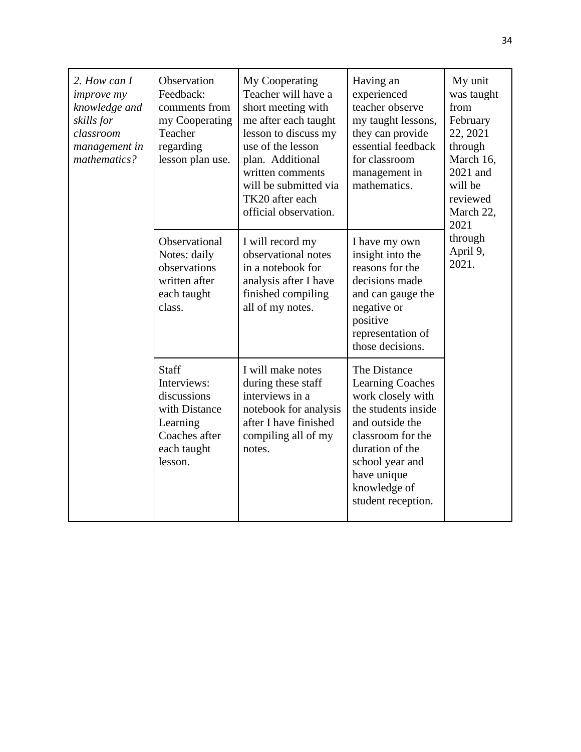| 2. How can I<br><i>improve my</i><br>knowledge and<br>skills for<br>classroom<br>management in<br>mathematics? | Observation<br>Feedback:<br>comments from<br>my Cooperating<br>Teacher<br>regarding<br>lesson plan use.            | My Cooperating<br>Teacher will have a<br>short meeting with<br>me after each taught<br>lesson to discuss my<br>use of the lesson<br>plan. Additional<br>written comments<br>will be submitted via<br>TK20 after each<br>official observation. | Having an<br>experienced<br>teacher observe<br>my taught lessons,<br>they can provide<br>essential feedback<br>for classroom<br>management in<br>mathematics.                                                          | My unit<br>was taught<br>from<br>February<br>22, 2021<br>through<br>March 16,<br>2021 and<br>will be<br>reviewed<br>March 22,<br>2021<br>through<br>April 9,<br>2021. |
|----------------------------------------------------------------------------------------------------------------|--------------------------------------------------------------------------------------------------------------------|-----------------------------------------------------------------------------------------------------------------------------------------------------------------------------------------------------------------------------------------------|------------------------------------------------------------------------------------------------------------------------------------------------------------------------------------------------------------------------|-----------------------------------------------------------------------------------------------------------------------------------------------------------------------|
|                                                                                                                | Observational<br>Notes: daily<br>observations<br>written after<br>each taught<br>class.                            | I will record my<br>observational notes<br>in a notebook for<br>analysis after I have<br>finished compiling<br>all of my notes.                                                                                                               | I have my own<br>insight into the<br>reasons for the<br>decisions made<br>and can gauge the<br>negative or<br>positive<br>representation of<br>those decisions.                                                        |                                                                                                                                                                       |
|                                                                                                                | <b>Staff</b><br>Interviews:<br>discussions<br>with Distance<br>Learning<br>Coaches after<br>each taught<br>lesson. | I will make notes<br>during these staff<br>interviews in a<br>notebook for analysis<br>after I have finished<br>compiling all of my<br>notes.                                                                                                 | The Distance<br><b>Learning Coaches</b><br>work closely with<br>the students inside<br>and outside the<br>classroom for the<br>duration of the<br>school year and<br>have unique<br>knowledge of<br>student reception. |                                                                                                                                                                       |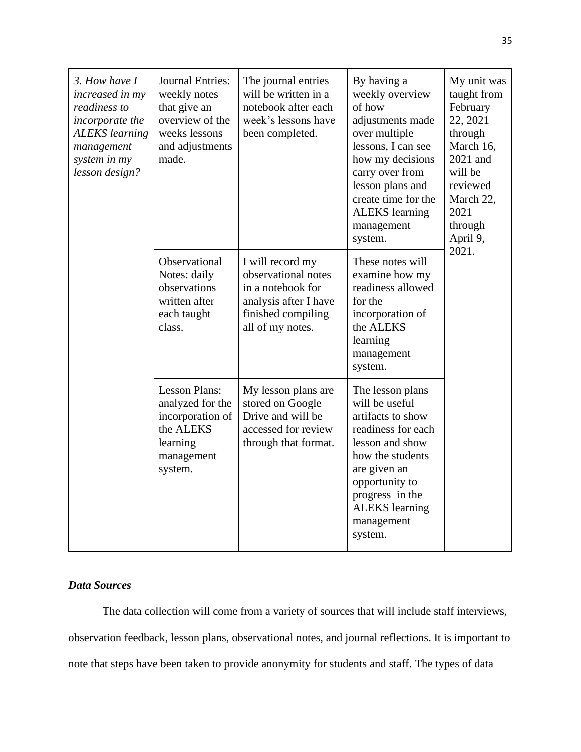| 3. How have I<br>increased in my<br>readiness to<br>incorporate the<br><b>ALEKS</b> learning<br>management<br>system in my<br>lesson design? | <b>Journal Entries:</b><br>weekly notes<br>that give an<br>overview of the<br>weeks lessons<br>and adjustments<br>made. | The journal entries<br>will be written in a<br>notebook after each<br>week's lessons have<br>been completed.                    | By having a<br>weekly overview<br>of how<br>adjustments made<br>over multiple<br>lessons, I can see<br>how my decisions<br>carry over from<br>lesson plans and<br>create time for the<br><b>ALEKS</b> learning<br>management<br>system. | My unit was<br>taught from<br>February<br>22, 2021<br>through<br>March 16,<br>2021 and<br>will be<br>reviewed<br>March 22,<br>2021<br>through<br>April 9,<br>2021. |
|----------------------------------------------------------------------------------------------------------------------------------------------|-------------------------------------------------------------------------------------------------------------------------|---------------------------------------------------------------------------------------------------------------------------------|-----------------------------------------------------------------------------------------------------------------------------------------------------------------------------------------------------------------------------------------|--------------------------------------------------------------------------------------------------------------------------------------------------------------------|
|                                                                                                                                              | Observational<br>Notes: daily<br>observations<br>written after<br>each taught<br>class.                                 | I will record my<br>observational notes<br>in a notebook for<br>analysis after I have<br>finished compiling<br>all of my notes. | These notes will<br>examine how my<br>readiness allowed<br>for the<br>incorporation of<br>the ALEKS<br>learning<br>management<br>system.                                                                                                |                                                                                                                                                                    |
|                                                                                                                                              | <b>Lesson Plans:</b><br>analyzed for the<br>incorporation of<br>the ALEKS<br>learning<br>management<br>system.          | My lesson plans are<br>stored on Google<br>Drive and will be<br>accessed for review<br>through that format.                     | The lesson plans<br>will be useful<br>artifacts to show<br>readiness for each<br>lesson and show<br>how the students<br>are given an<br>opportunity to<br>progress in the<br><b>ALEKS</b> learning<br>management<br>system.             |                                                                                                                                                                    |

# *Data Sources*

The data collection will come from a variety of sources that will include staff interviews, observation feedback, lesson plans, observational notes, and journal reflections. It is important to note that steps have been taken to provide anonymity for students and staff. The types of data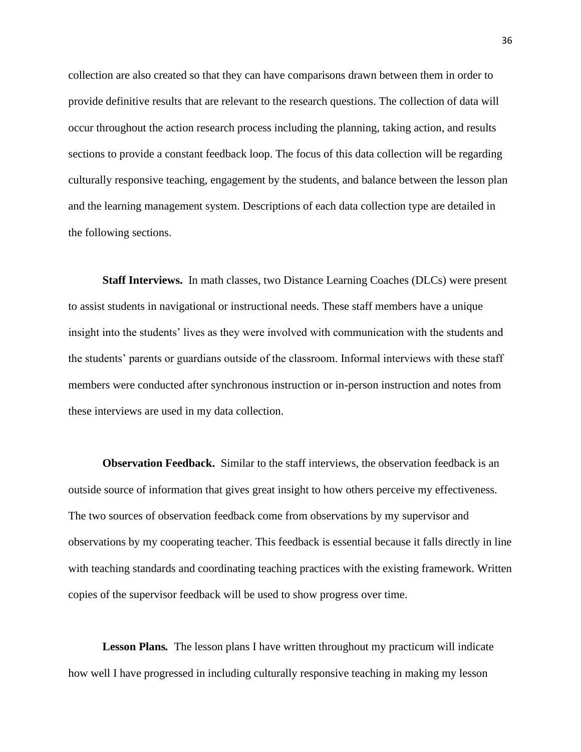collection are also created so that they can have comparisons drawn between them in order to provide definitive results that are relevant to the research questions. The collection of data will occur throughout the action research process including the planning, taking action, and results sections to provide a constant feedback loop. The focus of this data collection will be regarding culturally responsive teaching, engagement by the students, and balance between the lesson plan and the learning management system. Descriptions of each data collection type are detailed in the following sections.

**Staff Interviews.** In math classes, two Distance Learning Coaches (DLCs) were present to assist students in navigational or instructional needs. These staff members have a unique insight into the students' lives as they were involved with communication with the students and the students' parents or guardians outside of the classroom. Informal interviews with these staff members were conducted after synchronous instruction or in-person instruction and notes from these interviews are used in my data collection.

**Observation Feedback.** Similar to the staff interviews, the observation feedback is an outside source of information that gives great insight to how others perceive my effectiveness. The two sources of observation feedback come from observations by my supervisor and observations by my cooperating teacher. This feedback is essential because it falls directly in line with teaching standards and coordinating teaching practices with the existing framework. Written copies of the supervisor feedback will be used to show progress over time.

**Lesson Plans***.* The lesson plans I have written throughout my practicum will indicate how well I have progressed in including culturally responsive teaching in making my lesson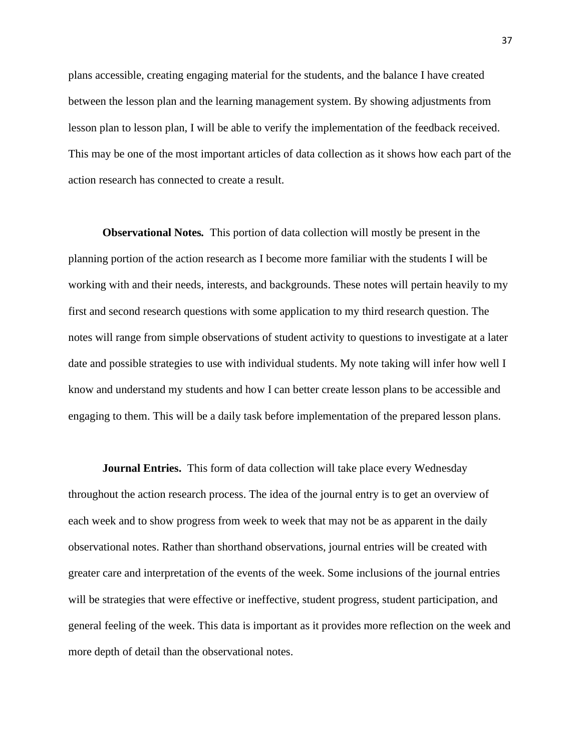plans accessible, creating engaging material for the students, and the balance I have created between the lesson plan and the learning management system. By showing adjustments from lesson plan to lesson plan, I will be able to verify the implementation of the feedback received. This may be one of the most important articles of data collection as it shows how each part of the action research has connected to create a result.

**Observational Notes***.* This portion of data collection will mostly be present in the planning portion of the action research as I become more familiar with the students I will be working with and their needs, interests, and backgrounds. These notes will pertain heavily to my first and second research questions with some application to my third research question. The notes will range from simple observations of student activity to questions to investigate at a later date and possible strategies to use with individual students. My note taking will infer how well I know and understand my students and how I can better create lesson plans to be accessible and engaging to them. This will be a daily task before implementation of the prepared lesson plans.

**Journal Entries.** This form of data collection will take place every Wednesday throughout the action research process. The idea of the journal entry is to get an overview of each week and to show progress from week to week that may not be as apparent in the daily observational notes. Rather than shorthand observations, journal entries will be created with greater care and interpretation of the events of the week. Some inclusions of the journal entries will be strategies that were effective or ineffective, student progress, student participation, and general feeling of the week. This data is important as it provides more reflection on the week and more depth of detail than the observational notes.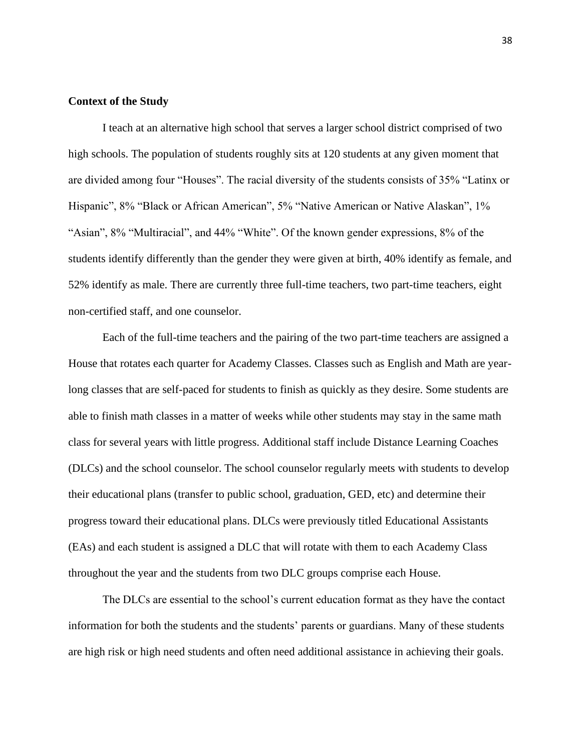## **Context of the Study**

I teach at an alternative high school that serves a larger school district comprised of two high schools. The population of students roughly sits at 120 students at any given moment that are divided among four "Houses". The racial diversity of the students consists of 35% "Latinx or Hispanic", 8% "Black or African American", 5% "Native American or Native Alaskan", 1% "Asian", 8% "Multiracial", and 44% "White". Of the known gender expressions, 8% of the students identify differently than the gender they were given at birth, 40% identify as female, and 52% identify as male. There are currently three full-time teachers, two part-time teachers, eight non-certified staff, and one counselor.

Each of the full-time teachers and the pairing of the two part-time teachers are assigned a House that rotates each quarter for Academy Classes. Classes such as English and Math are yearlong classes that are self-paced for students to finish as quickly as they desire. Some students are able to finish math classes in a matter of weeks while other students may stay in the same math class for several years with little progress. Additional staff include Distance Learning Coaches (DLCs) and the school counselor. The school counselor regularly meets with students to develop their educational plans (transfer to public school, graduation, GED, etc) and determine their progress toward their educational plans. DLCs were previously titled Educational Assistants (EAs) and each student is assigned a DLC that will rotate with them to each Academy Class throughout the year and the students from two DLC groups comprise each House.

The DLCs are essential to the school's current education format as they have the contact information for both the students and the students' parents or guardians. Many of these students are high risk or high need students and often need additional assistance in achieving their goals.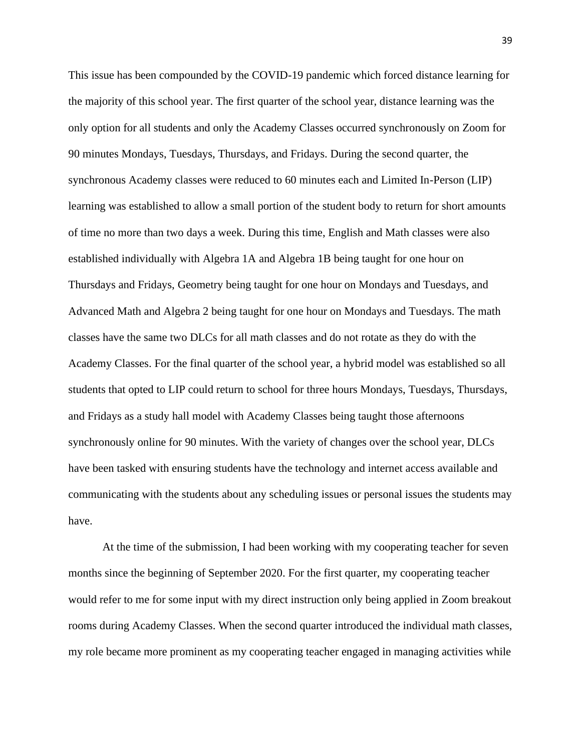This issue has been compounded by the COVID-19 pandemic which forced distance learning for the majority of this school year. The first quarter of the school year, distance learning was the only option for all students and only the Academy Classes occurred synchronously on Zoom for 90 minutes Mondays, Tuesdays, Thursdays, and Fridays. During the second quarter, the synchronous Academy classes were reduced to 60 minutes each and Limited In-Person (LIP) learning was established to allow a small portion of the student body to return for short amounts of time no more than two days a week. During this time, English and Math classes were also established individually with Algebra 1A and Algebra 1B being taught for one hour on Thursdays and Fridays, Geometry being taught for one hour on Mondays and Tuesdays, and Advanced Math and Algebra 2 being taught for one hour on Mondays and Tuesdays. The math classes have the same two DLCs for all math classes and do not rotate as they do with the Academy Classes. For the final quarter of the school year, a hybrid model was established so all students that opted to LIP could return to school for three hours Mondays, Tuesdays, Thursdays, and Fridays as a study hall model with Academy Classes being taught those afternoons synchronously online for 90 minutes. With the variety of changes over the school year, DLCs have been tasked with ensuring students have the technology and internet access available and communicating with the students about any scheduling issues or personal issues the students may have.

At the time of the submission, I had been working with my cooperating teacher for seven months since the beginning of September 2020. For the first quarter, my cooperating teacher would refer to me for some input with my direct instruction only being applied in Zoom breakout rooms during Academy Classes. When the second quarter introduced the individual math classes, my role became more prominent as my cooperating teacher engaged in managing activities while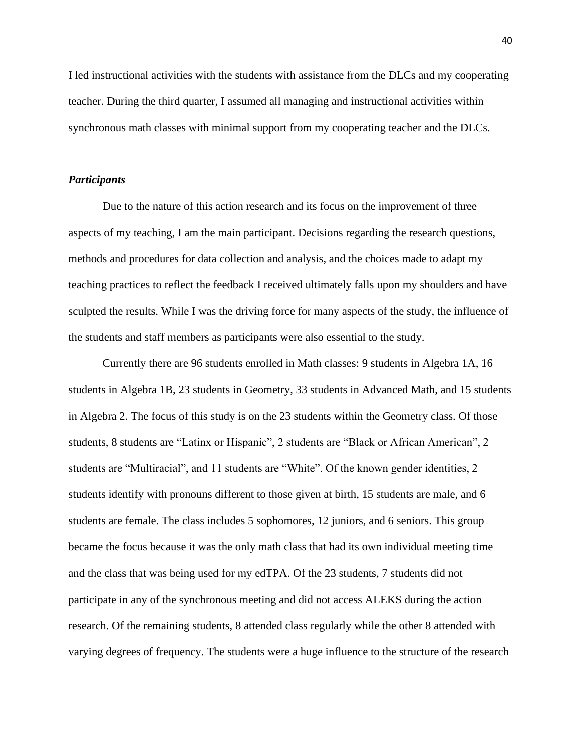I led instructional activities with the students with assistance from the DLCs and my cooperating teacher. During the third quarter, I assumed all managing and instructional activities within synchronous math classes with minimal support from my cooperating teacher and the DLCs.

#### *Participants*

Due to the nature of this action research and its focus on the improvement of three aspects of my teaching, I am the main participant. Decisions regarding the research questions, methods and procedures for data collection and analysis, and the choices made to adapt my teaching practices to reflect the feedback I received ultimately falls upon my shoulders and have sculpted the results. While I was the driving force for many aspects of the study, the influence of the students and staff members as participants were also essential to the study.

Currently there are 96 students enrolled in Math classes: 9 students in Algebra 1A, 16 students in Algebra 1B, 23 students in Geometry, 33 students in Advanced Math, and 15 students in Algebra 2. The focus of this study is on the 23 students within the Geometry class. Of those students, 8 students are "Latinx or Hispanic", 2 students are "Black or African American", 2 students are "Multiracial", and 11 students are "White". Of the known gender identities, 2 students identify with pronouns different to those given at birth, 15 students are male, and 6 students are female. The class includes 5 sophomores, 12 juniors, and 6 seniors. This group became the focus because it was the only math class that had its own individual meeting time and the class that was being used for my edTPA. Of the 23 students, 7 students did not participate in any of the synchronous meeting and did not access ALEKS during the action research. Of the remaining students, 8 attended class regularly while the other 8 attended with varying degrees of frequency. The students were a huge influence to the structure of the research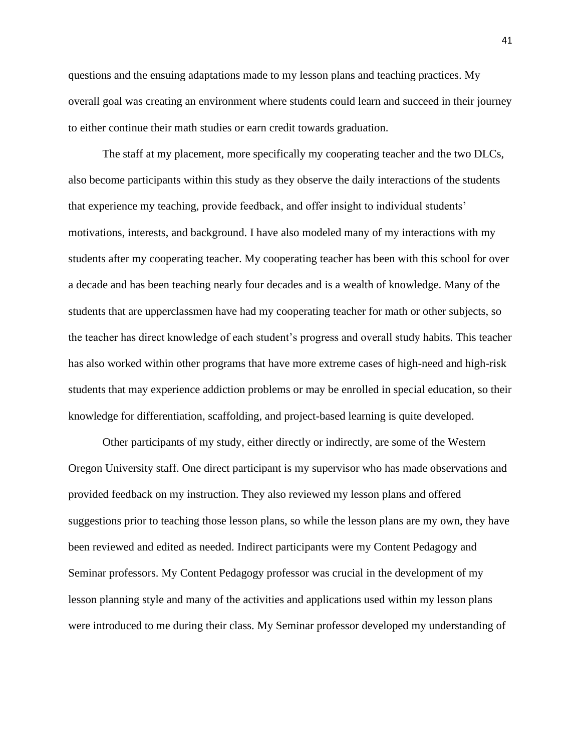questions and the ensuing adaptations made to my lesson plans and teaching practices. My overall goal was creating an environment where students could learn and succeed in their journey to either continue their math studies or earn credit towards graduation.

The staff at my placement, more specifically my cooperating teacher and the two DLCs, also become participants within this study as they observe the daily interactions of the students that experience my teaching, provide feedback, and offer insight to individual students' motivations, interests, and background. I have also modeled many of my interactions with my students after my cooperating teacher. My cooperating teacher has been with this school for over a decade and has been teaching nearly four decades and is a wealth of knowledge. Many of the students that are upperclassmen have had my cooperating teacher for math or other subjects, so the teacher has direct knowledge of each student's progress and overall study habits. This teacher has also worked within other programs that have more extreme cases of high-need and high-risk students that may experience addiction problems or may be enrolled in special education, so their knowledge for differentiation, scaffolding, and project-based learning is quite developed.

Other participants of my study, either directly or indirectly, are some of the Western Oregon University staff. One direct participant is my supervisor who has made observations and provided feedback on my instruction. They also reviewed my lesson plans and offered suggestions prior to teaching those lesson plans, so while the lesson plans are my own, they have been reviewed and edited as needed. Indirect participants were my Content Pedagogy and Seminar professors. My Content Pedagogy professor was crucial in the development of my lesson planning style and many of the activities and applications used within my lesson plans were introduced to me during their class. My Seminar professor developed my understanding of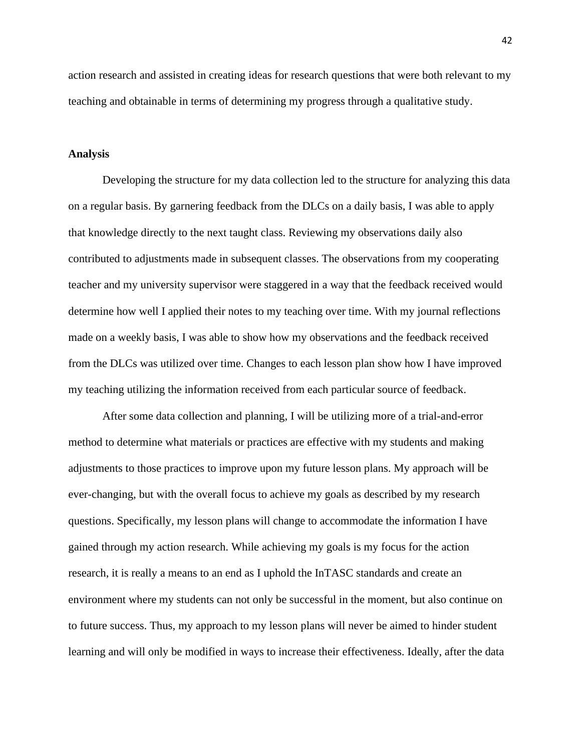action research and assisted in creating ideas for research questions that were both relevant to my teaching and obtainable in terms of determining my progress through a qualitative study.

### **Analysis**

Developing the structure for my data collection led to the structure for analyzing this data on a regular basis. By garnering feedback from the DLCs on a daily basis, I was able to apply that knowledge directly to the next taught class. Reviewing my observations daily also contributed to adjustments made in subsequent classes. The observations from my cooperating teacher and my university supervisor were staggered in a way that the feedback received would determine how well I applied their notes to my teaching over time. With my journal reflections made on a weekly basis, I was able to show how my observations and the feedback received from the DLCs was utilized over time. Changes to each lesson plan show how I have improved my teaching utilizing the information received from each particular source of feedback.

After some data collection and planning, I will be utilizing more of a trial-and-error method to determine what materials or practices are effective with my students and making adjustments to those practices to improve upon my future lesson plans. My approach will be ever-changing, but with the overall focus to achieve my goals as described by my research questions. Specifically, my lesson plans will change to accommodate the information I have gained through my action research. While achieving my goals is my focus for the action research, it is really a means to an end as I uphold the InTASC standards and create an environment where my students can not only be successful in the moment, but also continue on to future success. Thus, my approach to my lesson plans will never be aimed to hinder student learning and will only be modified in ways to increase their effectiveness. Ideally, after the data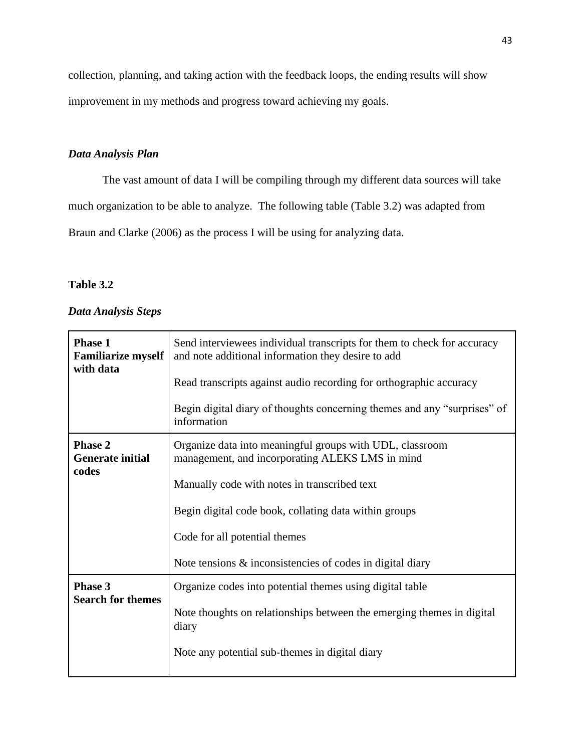collection, planning, and taking action with the feedback loops, the ending results will show improvement in my methods and progress toward achieving my goals.

# *Data Analysis Plan*

The vast amount of data I will be compiling through my different data sources will take much organization to be able to analyze. The following table (Table 3.2) was adapted from Braun and Clarke (2006) as the process I will be using for analyzing data.

# **Table 3.2**

### *Data Analysis Steps*

| <b>Phase 1</b><br><b>Familiarize myself</b><br>with data | Send interviewees individual transcripts for them to check for accuracy<br>and note additional information they desire to add<br>Read transcripts against audio recording for orthographic accuracy<br>Begin digital diary of thoughts concerning themes and any "surprises" of<br>information                        |
|----------------------------------------------------------|-----------------------------------------------------------------------------------------------------------------------------------------------------------------------------------------------------------------------------------------------------------------------------------------------------------------------|
| <b>Phase 2</b><br><b>Generate initial</b><br>codes       | Organize data into meaningful groups with UDL, classroom<br>management, and incorporating ALEKS LMS in mind<br>Manually code with notes in transcribed text<br>Begin digital code book, collating data within groups<br>Code for all potential themes<br>Note tensions $\&$ inconsistencies of codes in digital diary |
| Phase 3<br><b>Search for themes</b>                      | Organize codes into potential themes using digital table<br>Note thoughts on relationships between the emerging themes in digital<br>diary<br>Note any potential sub-themes in digital diary                                                                                                                          |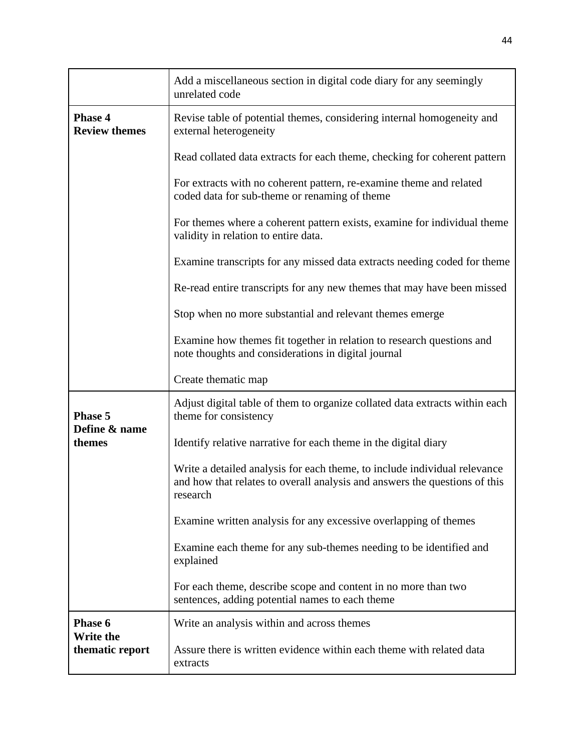|                                        | Add a miscellaneous section in digital code diary for any seemingly<br>unrelated code                                                                               |  |  |
|----------------------------------------|---------------------------------------------------------------------------------------------------------------------------------------------------------------------|--|--|
| <b>Phase 4</b><br><b>Review themes</b> | Revise table of potential themes, considering internal homogeneity and<br>external heterogeneity                                                                    |  |  |
|                                        | Read collated data extracts for each theme, checking for coherent pattern                                                                                           |  |  |
|                                        | For extracts with no coherent pattern, re-examine theme and related<br>coded data for sub-theme or renaming of theme                                                |  |  |
|                                        | For themes where a coherent pattern exists, examine for individual theme<br>validity in relation to entire data.                                                    |  |  |
|                                        | Examine transcripts for any missed data extracts needing coded for theme                                                                                            |  |  |
|                                        | Re-read entire transcripts for any new themes that may have been missed                                                                                             |  |  |
|                                        | Stop when no more substantial and relevant themes emerge                                                                                                            |  |  |
|                                        | Examine how themes fit together in relation to research questions and<br>note thoughts and considerations in digital journal                                        |  |  |
|                                        | Create thematic map                                                                                                                                                 |  |  |
| Phase 5<br>Define & name               | Adjust digital table of them to organize collated data extracts within each<br>theme for consistency                                                                |  |  |
| themes                                 | Identify relative narrative for each theme in the digital diary                                                                                                     |  |  |
|                                        | Write a detailed analysis for each theme, to include individual relevance<br>and how that relates to overall analysis and answers the questions of this<br>research |  |  |
|                                        | Examine written analysis for any excessive overlapping of themes                                                                                                    |  |  |
|                                        | Examine each theme for any sub-themes needing to be identified and<br>explained                                                                                     |  |  |
|                                        | For each theme, describe scope and content in no more than two<br>sentences, adding potential names to each theme                                                   |  |  |
| Phase 6<br>Write the                   | Write an analysis within and across themes                                                                                                                          |  |  |
| thematic report                        | Assure there is written evidence within each theme with related data<br>extracts                                                                                    |  |  |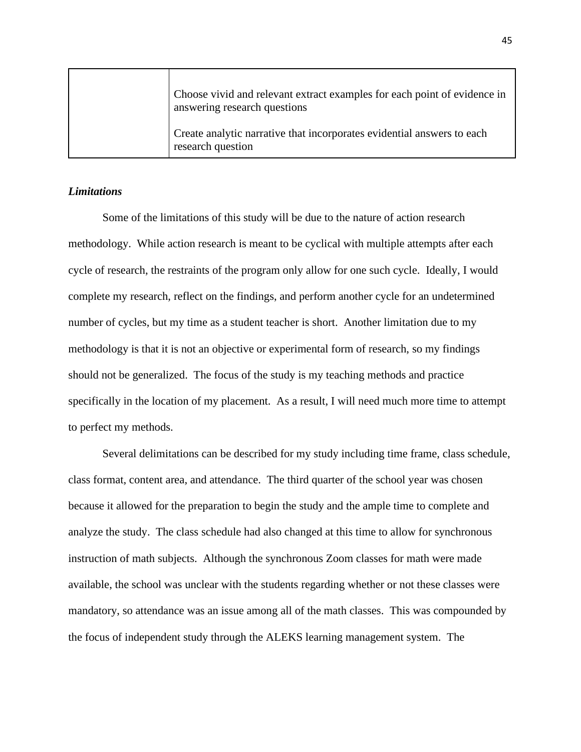| Choose vivid and relevant extract examples for each point of evidence in<br>answering research questions |
|----------------------------------------------------------------------------------------------------------|
| Create analytic narrative that incorporates evidential answers to each<br>research question              |

### *Limitations*

Some of the limitations of this study will be due to the nature of action research methodology. While action research is meant to be cyclical with multiple attempts after each cycle of research, the restraints of the program only allow for one such cycle. Ideally, I would complete my research, reflect on the findings, and perform another cycle for an undetermined number of cycles, but my time as a student teacher is short. Another limitation due to my methodology is that it is not an objective or experimental form of research, so my findings should not be generalized. The focus of the study is my teaching methods and practice specifically in the location of my placement. As a result, I will need much more time to attempt to perfect my methods.

Several delimitations can be described for my study including time frame, class schedule, class format, content area, and attendance. The third quarter of the school year was chosen because it allowed for the preparation to begin the study and the ample time to complete and analyze the study. The class schedule had also changed at this time to allow for synchronous instruction of math subjects. Although the synchronous Zoom classes for math were made available, the school was unclear with the students regarding whether or not these classes were mandatory, so attendance was an issue among all of the math classes. This was compounded by the focus of independent study through the ALEKS learning management system. The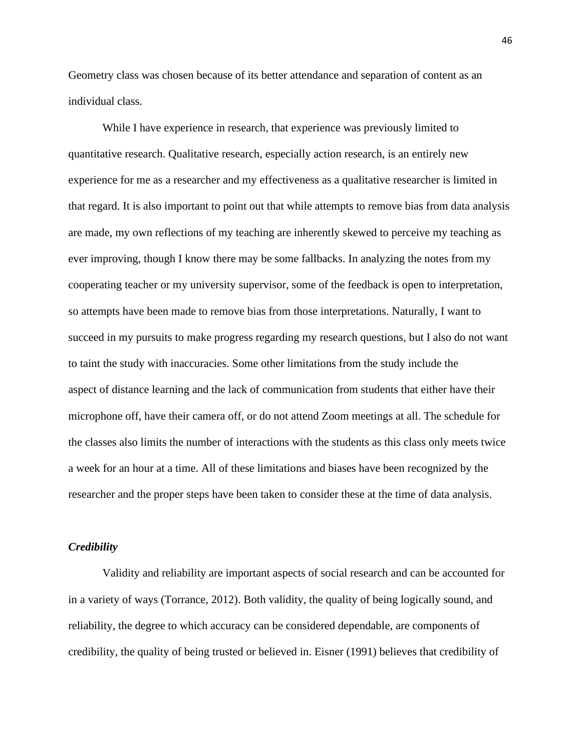Geometry class was chosen because of its better attendance and separation of content as an individual class.

While I have experience in research, that experience was previously limited to quantitative research. Qualitative research, especially action research, is an entirely new experience for me as a researcher and my effectiveness as a qualitative researcher is limited in that regard. It is also important to point out that while attempts to remove bias from data analysis are made, my own reflections of my teaching are inherently skewed to perceive my teaching as ever improving, though I know there may be some fallbacks. In analyzing the notes from my cooperating teacher or my university supervisor, some of the feedback is open to interpretation, so attempts have been made to remove bias from those interpretations. Naturally, I want to succeed in my pursuits to make progress regarding my research questions, but I also do not want to taint the study with inaccuracies. Some other limitations from the study include the aspect of distance learning and the lack of communication from students that either have their microphone off, have their camera off, or do not attend Zoom meetings at all. The schedule for the classes also limits the number of interactions with the students as this class only meets twice a week for an hour at a time. All of these limitations and biases have been recognized by the researcher and the proper steps have been taken to consider these at the time of data analysis.

### *Credibility*

Validity and reliability are important aspects of social research and can be accounted for in a variety of ways (Torrance, 2012). Both validity, the quality of being logically sound, and reliability, the degree to which accuracy can be considered dependable, are components of credibility, the quality of being trusted or believed in. Eisner (1991) believes that credibility of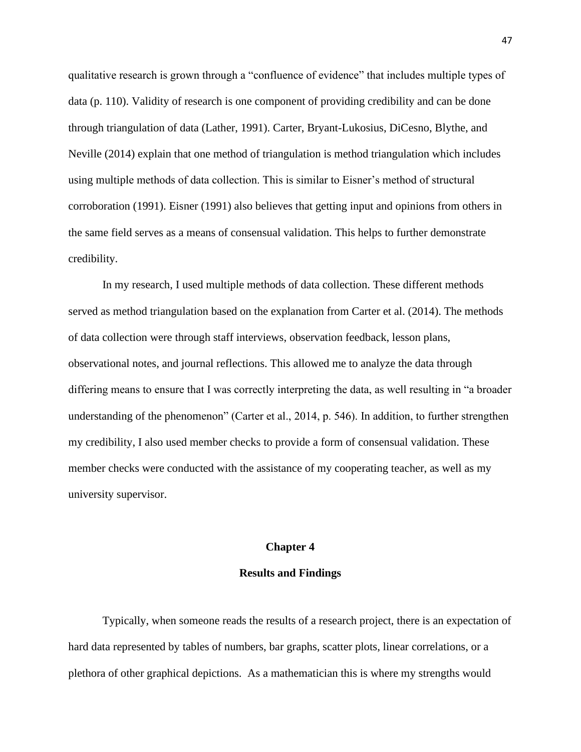qualitative research is grown through a "confluence of evidence" that includes multiple types of data (p. 110). Validity of research is one component of providing credibility and can be done through triangulation of data (Lather, 1991). Carter, Bryant-Lukosius, DiCesno, Blythe, and Neville (2014) explain that one method of triangulation is method triangulation which includes using multiple methods of data collection. This is similar to Eisner's method of structural corroboration (1991). Eisner (1991) also believes that getting input and opinions from others in the same field serves as a means of consensual validation. This helps to further demonstrate credibility.

In my research, I used multiple methods of data collection. These different methods served as method triangulation based on the explanation from Carter et al. (2014). The methods of data collection were through staff interviews, observation feedback, lesson plans, observational notes, and journal reflections. This allowed me to analyze the data through differing means to ensure that I was correctly interpreting the data, as well resulting in "a broader understanding of the phenomenon" (Carter et al., 2014, p. 546). In addition, to further strengthen my credibility, I also used member checks to provide a form of consensual validation. These member checks were conducted with the assistance of my cooperating teacher, as well as my university supervisor.

#### **Chapter 4**

### **Results and Findings**

Typically, when someone reads the results of a research project, there is an expectation of hard data represented by tables of numbers, bar graphs, scatter plots, linear correlations, or a plethora of other graphical depictions. As a mathematician this is where my strengths would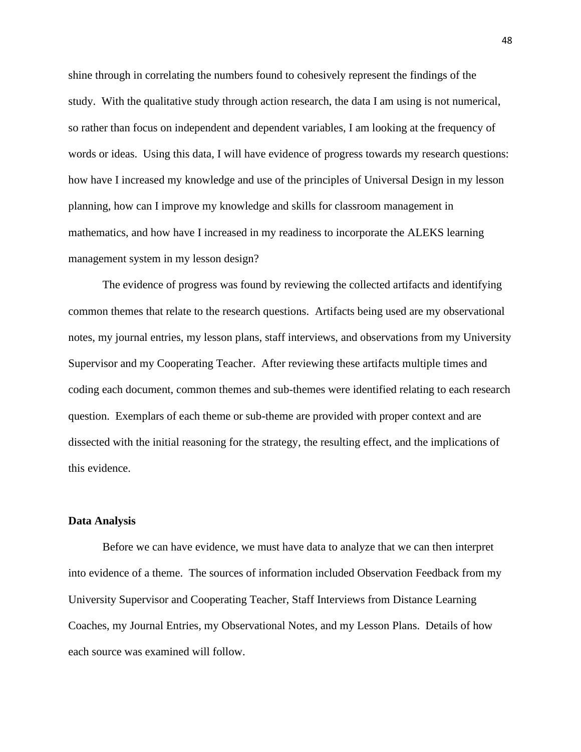shine through in correlating the numbers found to cohesively represent the findings of the study. With the qualitative study through action research, the data I am using is not numerical, so rather than focus on independent and dependent variables, I am looking at the frequency of words or ideas. Using this data, I will have evidence of progress towards my research questions: how have I increased my knowledge and use of the principles of Universal Design in my lesson planning, how can I improve my knowledge and skills for classroom management in mathematics, and how have I increased in my readiness to incorporate the ALEKS learning management system in my lesson design?

The evidence of progress was found by reviewing the collected artifacts and identifying common themes that relate to the research questions. Artifacts being used are my observational notes, my journal entries, my lesson plans, staff interviews, and observations from my University Supervisor and my Cooperating Teacher. After reviewing these artifacts multiple times and coding each document, common themes and sub-themes were identified relating to each research question. Exemplars of each theme or sub-theme are provided with proper context and are dissected with the initial reasoning for the strategy, the resulting effect, and the implications of this evidence.

### **Data Analysis**

Before we can have evidence, we must have data to analyze that we can then interpret into evidence of a theme. The sources of information included Observation Feedback from my University Supervisor and Cooperating Teacher, Staff Interviews from Distance Learning Coaches, my Journal Entries, my Observational Notes, and my Lesson Plans. Details of how each source was examined will follow.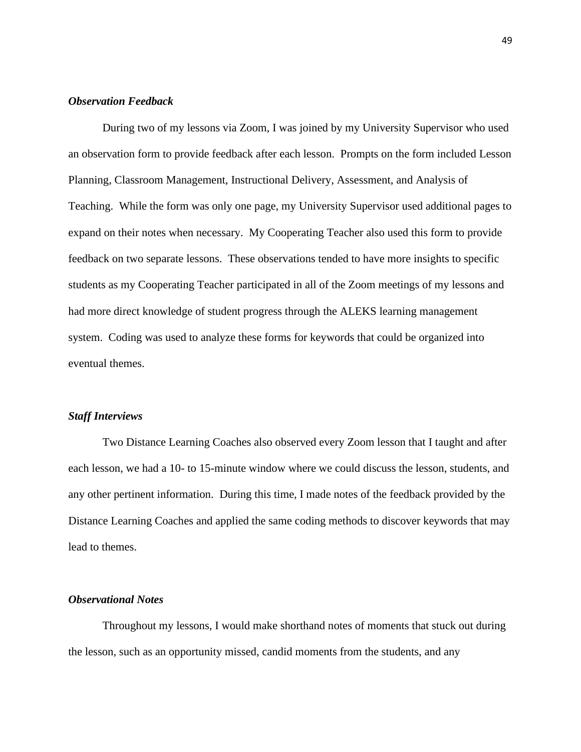### *Observation Feedback*

During two of my lessons via Zoom, I was joined by my University Supervisor who used an observation form to provide feedback after each lesson. Prompts on the form included Lesson Planning, Classroom Management, Instructional Delivery, Assessment, and Analysis of Teaching. While the form was only one page, my University Supervisor used additional pages to expand on their notes when necessary. My Cooperating Teacher also used this form to provide feedback on two separate lessons. These observations tended to have more insights to specific students as my Cooperating Teacher participated in all of the Zoom meetings of my lessons and had more direct knowledge of student progress through the ALEKS learning management system. Coding was used to analyze these forms for keywords that could be organized into eventual themes.

#### *Staff Interviews*

Two Distance Learning Coaches also observed every Zoom lesson that I taught and after each lesson, we had a 10- to 15-minute window where we could discuss the lesson, students, and any other pertinent information. During this time, I made notes of the feedback provided by the Distance Learning Coaches and applied the same coding methods to discover keywords that may lead to themes.

# *Observational Notes*

Throughout my lessons, I would make shorthand notes of moments that stuck out during the lesson, such as an opportunity missed, candid moments from the students, and any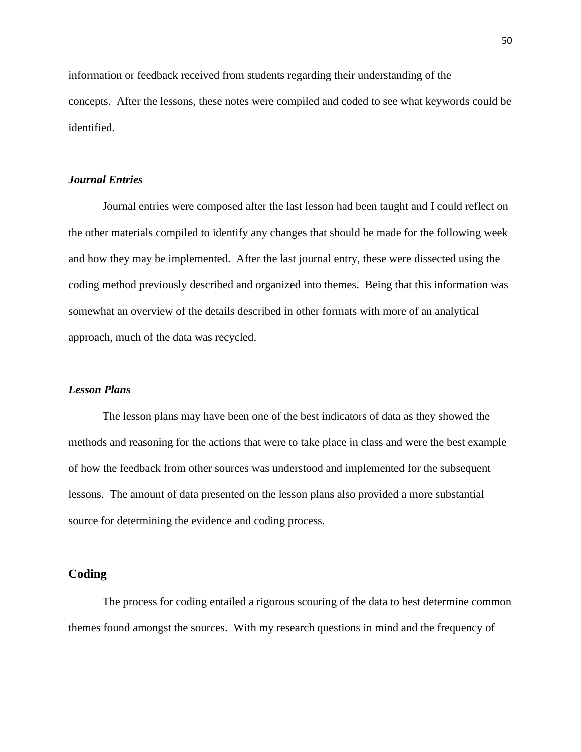information or feedback received from students regarding their understanding of the concepts. After the lessons, these notes were compiled and coded to see what keywords could be identified.

# *Journal Entries*

Journal entries were composed after the last lesson had been taught and I could reflect on the other materials compiled to identify any changes that should be made for the following week and how they may be implemented. After the last journal entry, these were dissected using the coding method previously described and organized into themes. Being that this information was somewhat an overview of the details described in other formats with more of an analytical approach, much of the data was recycled.

### *Lesson Plans*

The lesson plans may have been one of the best indicators of data as they showed the methods and reasoning for the actions that were to take place in class and were the best example of how the feedback from other sources was understood and implemented for the subsequent lessons. The amount of data presented on the lesson plans also provided a more substantial source for determining the evidence and coding process.

## **Coding**

The process for coding entailed a rigorous scouring of the data to best determine common themes found amongst the sources. With my research questions in mind and the frequency of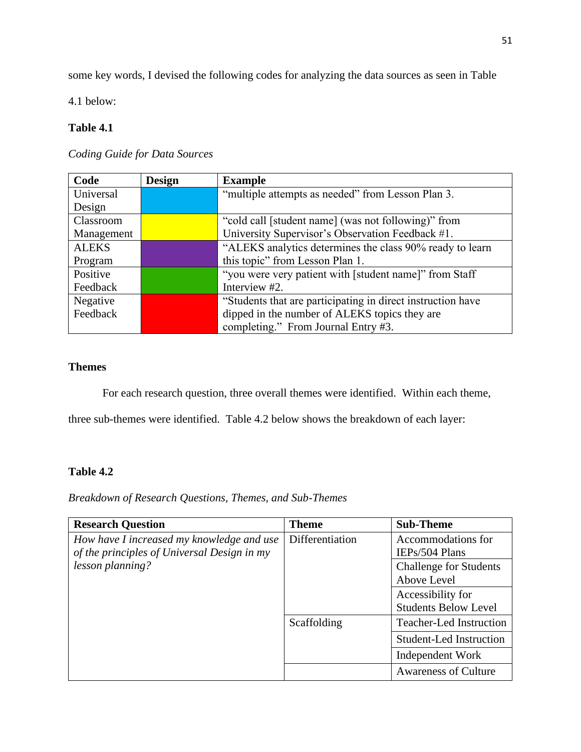some key words, I devised the following codes for analyzing the data sources as seen in Table

4.1 below:

# **Table 4.1**

*Coding Guide for Data Sources*

| Code         | <b>Design</b> | <b>Example</b>                                              |
|--------------|---------------|-------------------------------------------------------------|
| Universal    |               | "multiple attempts as needed" from Lesson Plan 3.           |
| Design       |               |                                                             |
| Classroom    |               | "cold call [student name] (was not following)" from         |
| Management   |               | University Supervisor's Observation Feedback #1.            |
| <b>ALEKS</b> |               | "ALEKS analytics determines the class 90% ready to learn    |
| Program      |               | this topic" from Lesson Plan 1.                             |
| Positive     |               | "you were very patient with [student name]" from Staff      |
| Feedback     |               | Interview #2.                                               |
| Negative     |               | "Students that are participating in direct instruction have |
| Feedback     |               | dipped in the number of ALEKS topics they are               |
|              |               | completing." From Journal Entry #3.                         |

# **Themes**

For each research question, three overall themes were identified. Within each theme,

three sub-themes were identified. Table 4.2 below shows the breakdown of each layer:

# **Table 4.2**

*Breakdown of Research Questions, Themes, and Sub-Themes*

| <b>Research Question</b>                    | <b>Theme</b>    | <b>Sub-Theme</b>               |
|---------------------------------------------|-----------------|--------------------------------|
| How have I increased my knowledge and use   | Differentiation | Accommodations for             |
| of the principles of Universal Design in my |                 | IEPs/504 Plans                 |
| lesson planning?                            |                 | <b>Challenge for Students</b>  |
|                                             |                 | Above Level                    |
|                                             |                 | Accessibility for              |
|                                             |                 | <b>Students Below Level</b>    |
|                                             | Scaffolding     | <b>Teacher-Led Instruction</b> |
|                                             |                 | <b>Student-Led Instruction</b> |
|                                             |                 | Independent Work               |
|                                             |                 | <b>Awareness of Culture</b>    |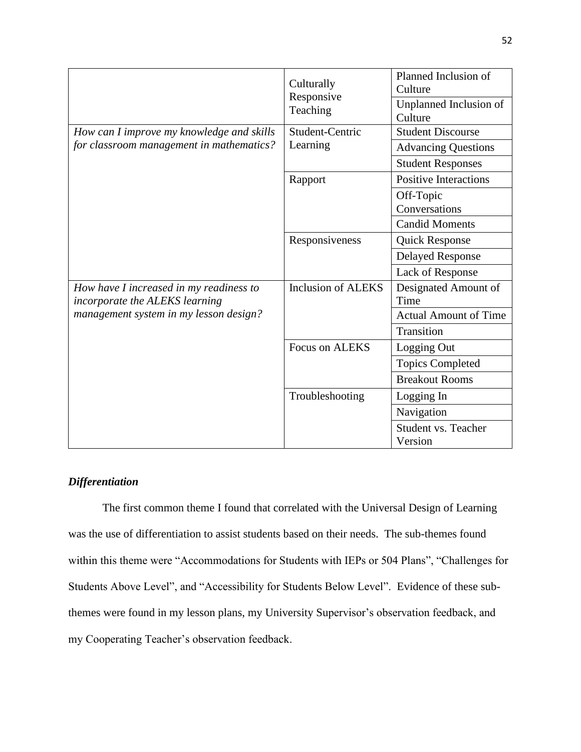|                                                                           | Culturally<br>Responsive  | Planned Inclusion of<br>Culture       |
|---------------------------------------------------------------------------|---------------------------|---------------------------------------|
|                                                                           | Teaching                  | Unplanned Inclusion of<br>Culture     |
| How can I improve my knowledge and skills                                 | Student-Centric           | <b>Student Discourse</b>              |
| for classroom management in mathematics?                                  | Learning                  | <b>Advancing Questions</b>            |
|                                                                           |                           | <b>Student Responses</b>              |
|                                                                           | Rapport                   | <b>Positive Interactions</b>          |
|                                                                           |                           | Off-Topic<br>Conversations            |
|                                                                           |                           | <b>Candid Moments</b>                 |
|                                                                           | Responsiveness            | <b>Quick Response</b>                 |
|                                                                           |                           | <b>Delayed Response</b>               |
|                                                                           |                           | Lack of Response                      |
| How have I increased in my readiness to<br>incorporate the ALEKS learning | <b>Inclusion of ALEKS</b> | Designated Amount of<br>Time          |
| management system in my lesson design?                                    |                           | <b>Actual Amount of Time</b>          |
|                                                                           |                           | Transition                            |
|                                                                           | Focus on ALEKS            | Logging Out                           |
|                                                                           |                           | <b>Topics Completed</b>               |
|                                                                           |                           | <b>Breakout Rooms</b>                 |
|                                                                           | Troubleshooting           | Logging In                            |
|                                                                           |                           | Navigation                            |
|                                                                           |                           | <b>Student vs. Teacher</b><br>Version |

# *Differentiation*

The first common theme I found that correlated with the Universal Design of Learning was the use of differentiation to assist students based on their needs. The sub-themes found within this theme were "Accommodations for Students with IEPs or 504 Plans", "Challenges for Students Above Level", and "Accessibility for Students Below Level". Evidence of these subthemes were found in my lesson plans, my University Supervisor's observation feedback, and my Cooperating Teacher's observation feedback.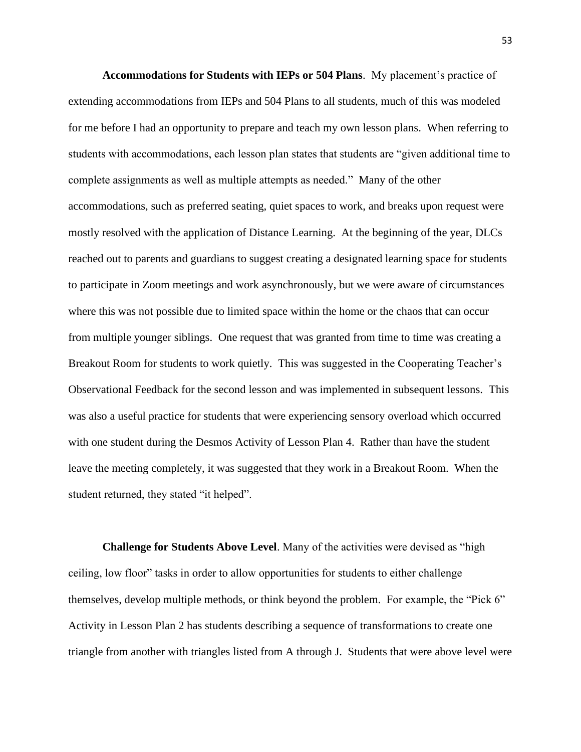**Accommodations for Students with IEPs or 504 Plans**. My placement's practice of extending accommodations from IEPs and 504 Plans to all students, much of this was modeled for me before I had an opportunity to prepare and teach my own lesson plans. When referring to students with accommodations, each lesson plan states that students are "given additional time to complete assignments as well as multiple attempts as needed." Many of the other accommodations, such as preferred seating, quiet spaces to work, and breaks upon request were mostly resolved with the application of Distance Learning. At the beginning of the year, DLCs reached out to parents and guardians to suggest creating a designated learning space for students to participate in Zoom meetings and work asynchronously, but we were aware of circumstances where this was not possible due to limited space within the home or the chaos that can occur from multiple younger siblings. One request that was granted from time to time was creating a Breakout Room for students to work quietly. This was suggested in the Cooperating Teacher's Observational Feedback for the second lesson and was implemented in subsequent lessons. This was also a useful practice for students that were experiencing sensory overload which occurred with one student during the Desmos Activity of Lesson Plan 4. Rather than have the student leave the meeting completely, it was suggested that they work in a Breakout Room. When the student returned, they stated "it helped".

**Challenge for Students Above Level**. Many of the activities were devised as "high ceiling, low floor" tasks in order to allow opportunities for students to either challenge themselves, develop multiple methods, or think beyond the problem. For example, the "Pick 6" Activity in Lesson Plan 2 has students describing a sequence of transformations to create one triangle from another with triangles listed from A through J. Students that were above level were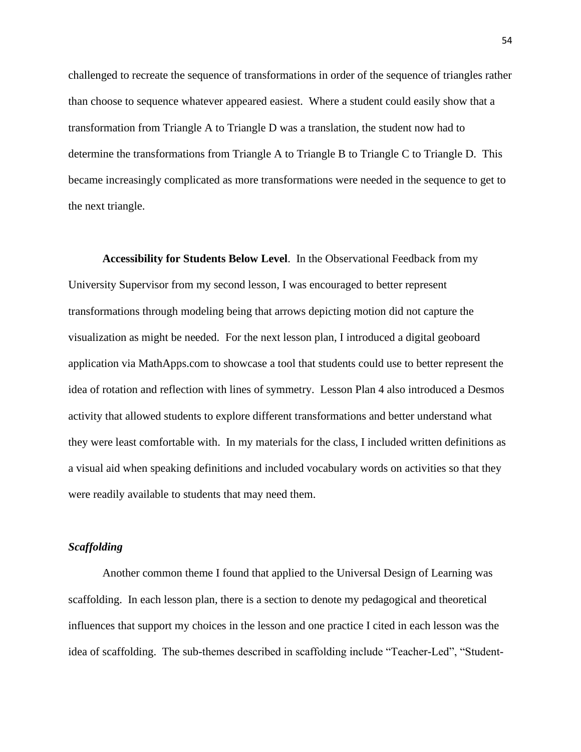challenged to recreate the sequence of transformations in order of the sequence of triangles rather than choose to sequence whatever appeared easiest. Where a student could easily show that a transformation from Triangle A to Triangle D was a translation, the student now had to determine the transformations from Triangle A to Triangle B to Triangle C to Triangle D. This became increasingly complicated as more transformations were needed in the sequence to get to the next triangle.

**Accessibility for Students Below Level**. In the Observational Feedback from my University Supervisor from my second lesson, I was encouraged to better represent transformations through modeling being that arrows depicting motion did not capture the visualization as might be needed. For the next lesson plan, I introduced a digital geoboard application via MathApps.com to showcase a tool that students could use to better represent the idea of rotation and reflection with lines of symmetry. Lesson Plan 4 also introduced a Desmos activity that allowed students to explore different transformations and better understand what they were least comfortable with. In my materials for the class, I included written definitions as a visual aid when speaking definitions and included vocabulary words on activities so that they were readily available to students that may need them.

### *Scaffolding*

Another common theme I found that applied to the Universal Design of Learning was scaffolding. In each lesson plan, there is a section to denote my pedagogical and theoretical influences that support my choices in the lesson and one practice I cited in each lesson was the idea of scaffolding. The sub-themes described in scaffolding include "Teacher-Led", "Student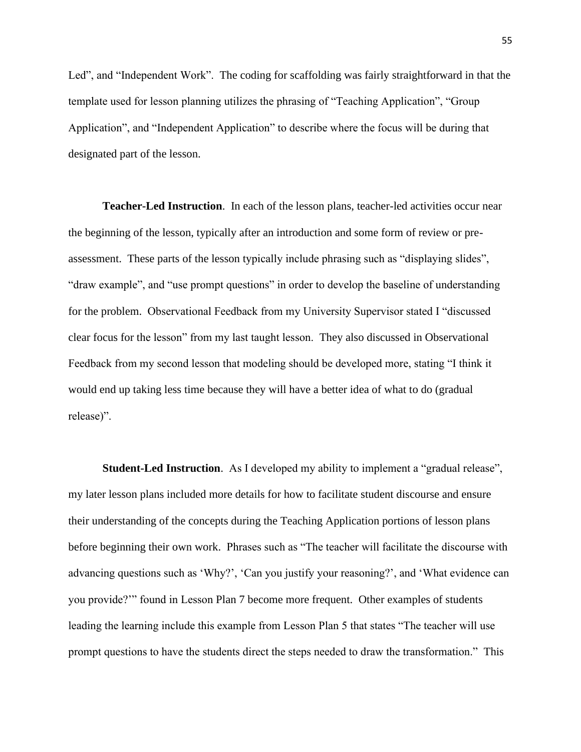Led", and "Independent Work". The coding for scaffolding was fairly straightforward in that the template used for lesson planning utilizes the phrasing of "Teaching Application", "Group Application", and "Independent Application" to describe where the focus will be during that designated part of the lesson.

**Teacher-Led Instruction**. In each of the lesson plans, teacher-led activities occur near the beginning of the lesson, typically after an introduction and some form of review or preassessment. These parts of the lesson typically include phrasing such as "displaying slides", "draw example", and "use prompt questions" in order to develop the baseline of understanding for the problem. Observational Feedback from my University Supervisor stated I "discussed clear focus for the lesson" from my last taught lesson. They also discussed in Observational Feedback from my second lesson that modeling should be developed more, stating "I think it would end up taking less time because they will have a better idea of what to do (gradual release)".

**Student-Led Instruction**. As I developed my ability to implement a "gradual release", my later lesson plans included more details for how to facilitate student discourse and ensure their understanding of the concepts during the Teaching Application portions of lesson plans before beginning their own work. Phrases such as "The teacher will facilitate the discourse with advancing questions such as 'Why?', 'Can you justify your reasoning?', and 'What evidence can you provide?'" found in Lesson Plan 7 become more frequent. Other examples of students leading the learning include this example from Lesson Plan 5 that states "The teacher will use prompt questions to have the students direct the steps needed to draw the transformation." This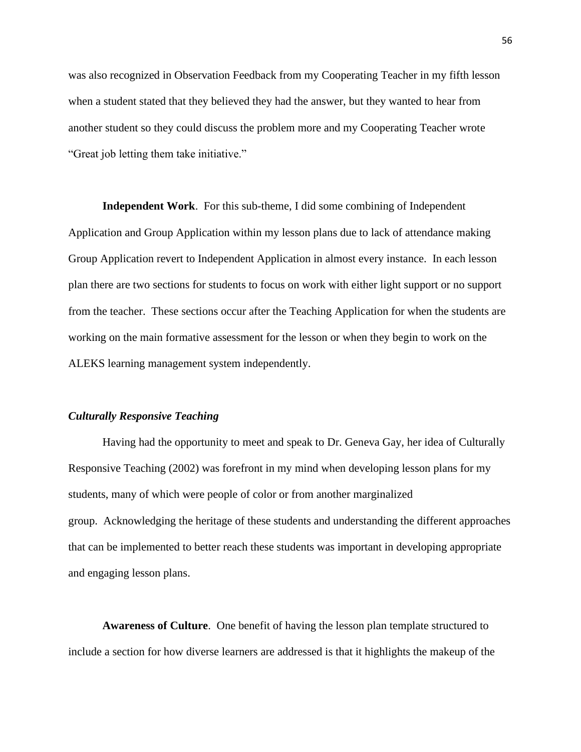was also recognized in Observation Feedback from my Cooperating Teacher in my fifth lesson when a student stated that they believed they had the answer, but they wanted to hear from another student so they could discuss the problem more and my Cooperating Teacher wrote "Great job letting them take initiative."

**Independent Work**. For this sub-theme, I did some combining of Independent Application and Group Application within my lesson plans due to lack of attendance making Group Application revert to Independent Application in almost every instance. In each lesson plan there are two sections for students to focus on work with either light support or no support from the teacher. These sections occur after the Teaching Application for when the students are working on the main formative assessment for the lesson or when they begin to work on the ALEKS learning management system independently.

### *Culturally Responsive Teaching*

Having had the opportunity to meet and speak to Dr. Geneva Gay, her idea of Culturally Responsive Teaching (2002) was forefront in my mind when developing lesson plans for my students, many of which were people of color or from another marginalized group. Acknowledging the heritage of these students and understanding the different approaches that can be implemented to better reach these students was important in developing appropriate and engaging lesson plans.

**Awareness of Culture**. One benefit of having the lesson plan template structured to include a section for how diverse learners are addressed is that it highlights the makeup of the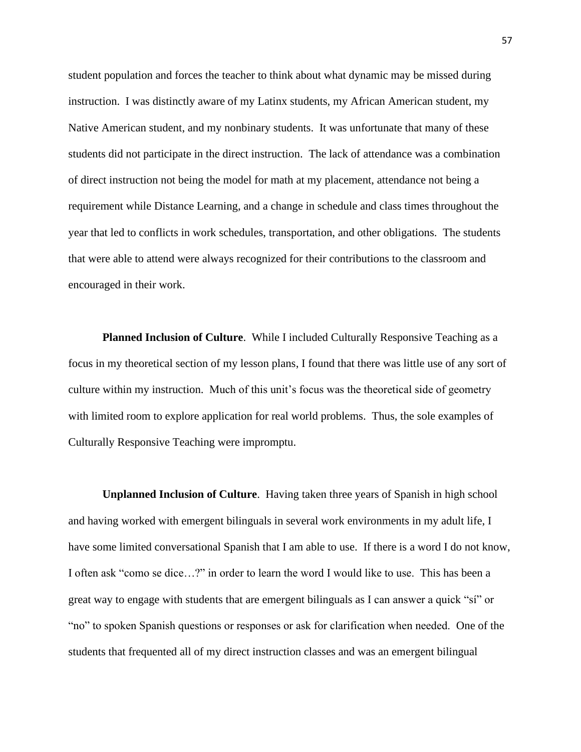student population and forces the teacher to think about what dynamic may be missed during instruction. I was distinctly aware of my Latinx students, my African American student, my Native American student, and my nonbinary students. It was unfortunate that many of these students did not participate in the direct instruction. The lack of attendance was a combination of direct instruction not being the model for math at my placement, attendance not being a requirement while Distance Learning, and a change in schedule and class times throughout the year that led to conflicts in work schedules, transportation, and other obligations. The students that were able to attend were always recognized for their contributions to the classroom and encouraged in their work.

**Planned Inclusion of Culture**. While I included Culturally Responsive Teaching as a focus in my theoretical section of my lesson plans, I found that there was little use of any sort of culture within my instruction. Much of this unit's focus was the theoretical side of geometry with limited room to explore application for real world problems. Thus, the sole examples of Culturally Responsive Teaching were impromptu.

**Unplanned Inclusion of Culture**. Having taken three years of Spanish in high school and having worked with emergent bilinguals in several work environments in my adult life, I have some limited conversational Spanish that I am able to use. If there is a word I do not know, I often ask "como se dice…?" in order to learn the word I would like to use. This has been a great way to engage with students that are emergent bilinguals as I can answer a quick "sí" or "no" to spoken Spanish questions or responses or ask for clarification when needed. One of the students that frequented all of my direct instruction classes and was an emergent bilingual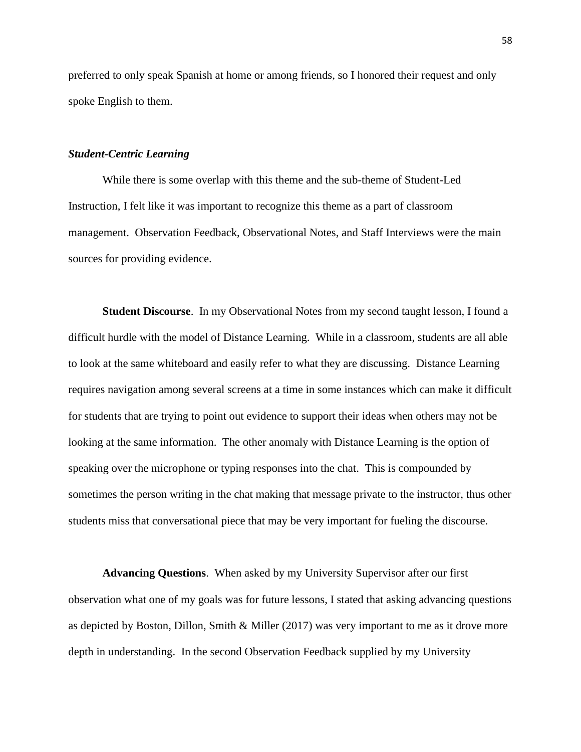preferred to only speak Spanish at home or among friends, so I honored their request and only spoke English to them.

### *Student-Centric Learning*

While there is some overlap with this theme and the sub-theme of Student-Led Instruction, I felt like it was important to recognize this theme as a part of classroom management. Observation Feedback, Observational Notes, and Staff Interviews were the main sources for providing evidence.

**Student Discourse**. In my Observational Notes from my second taught lesson, I found a difficult hurdle with the model of Distance Learning. While in a classroom, students are all able to look at the same whiteboard and easily refer to what they are discussing. Distance Learning requires navigation among several screens at a time in some instances which can make it difficult for students that are trying to point out evidence to support their ideas when others may not be looking at the same information. The other anomaly with Distance Learning is the option of speaking over the microphone or typing responses into the chat. This is compounded by sometimes the person writing in the chat making that message private to the instructor, thus other students miss that conversational piece that may be very important for fueling the discourse.

**Advancing Questions**. When asked by my University Supervisor after our first observation what one of my goals was for future lessons, I stated that asking advancing questions as depicted by Boston, Dillon, Smith & Miller (2017) was very important to me as it drove more depth in understanding. In the second Observation Feedback supplied by my University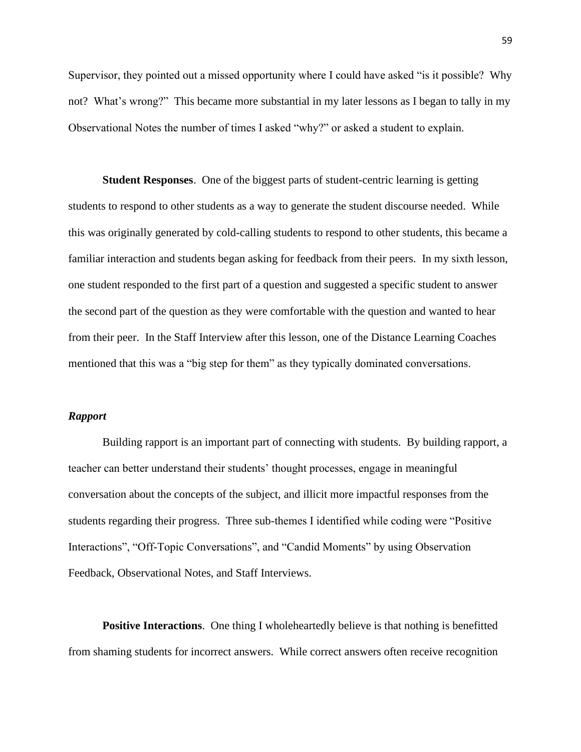Supervisor, they pointed out a missed opportunity where I could have asked "is it possible? Why not? What's wrong?" This became more substantial in my later lessons as I began to tally in my Observational Notes the number of times I asked "why?" or asked a student to explain.

**Student Responses**. One of the biggest parts of student-centric learning is getting students to respond to other students as a way to generate the student discourse needed. While this was originally generated by cold-calling students to respond to other students, this became a familiar interaction and students began asking for feedback from their peers. In my sixth lesson, one student responded to the first part of a question and suggested a specific student to answer the second part of the question as they were comfortable with the question and wanted to hear from their peer. In the Staff Interview after this lesson, one of the Distance Learning Coaches mentioned that this was a "big step for them" as they typically dominated conversations.

### *Rapport*

Building rapport is an important part of connecting with students. By building rapport, a teacher can better understand their students' thought processes, engage in meaningful conversation about the concepts of the subject, and illicit more impactful responses from the students regarding their progress. Three sub-themes I identified while coding were "Positive Interactions", "Off-Topic Conversations", and "Candid Moments" by using Observation Feedback, Observational Notes, and Staff Interviews.

**Positive Interactions.** One thing I wholeheartedly believe is that nothing is benefitted from shaming students for incorrect answers. While correct answers often receive recognition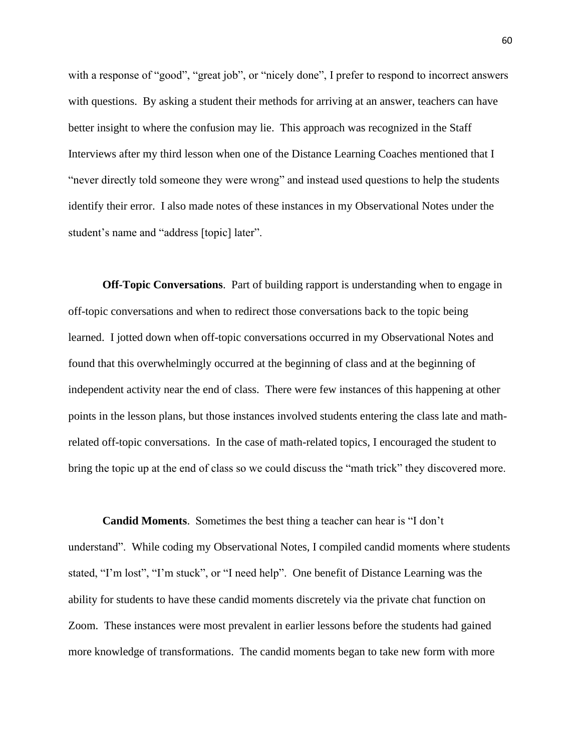with a response of "good", "great job", or "nicely done", I prefer to respond to incorrect answers with questions. By asking a student their methods for arriving at an answer, teachers can have better insight to where the confusion may lie. This approach was recognized in the Staff Interviews after my third lesson when one of the Distance Learning Coaches mentioned that I "never directly told someone they were wrong" and instead used questions to help the students identify their error. I also made notes of these instances in my Observational Notes under the student's name and "address [topic] later".

**Off-Topic Conversations**. Part of building rapport is understanding when to engage in off-topic conversations and when to redirect those conversations back to the topic being learned. I jotted down when off-topic conversations occurred in my Observational Notes and found that this overwhelmingly occurred at the beginning of class and at the beginning of independent activity near the end of class. There were few instances of this happening at other points in the lesson plans, but those instances involved students entering the class late and mathrelated off-topic conversations. In the case of math-related topics, I encouraged the student to bring the topic up at the end of class so we could discuss the "math trick" they discovered more.

**Candid Moments**. Sometimes the best thing a teacher can hear is "I don't understand". While coding my Observational Notes, I compiled candid moments where students stated, "I'm lost", "I'm stuck", or "I need help". One benefit of Distance Learning was the ability for students to have these candid moments discretely via the private chat function on Zoom. These instances were most prevalent in earlier lessons before the students had gained more knowledge of transformations. The candid moments began to take new form with more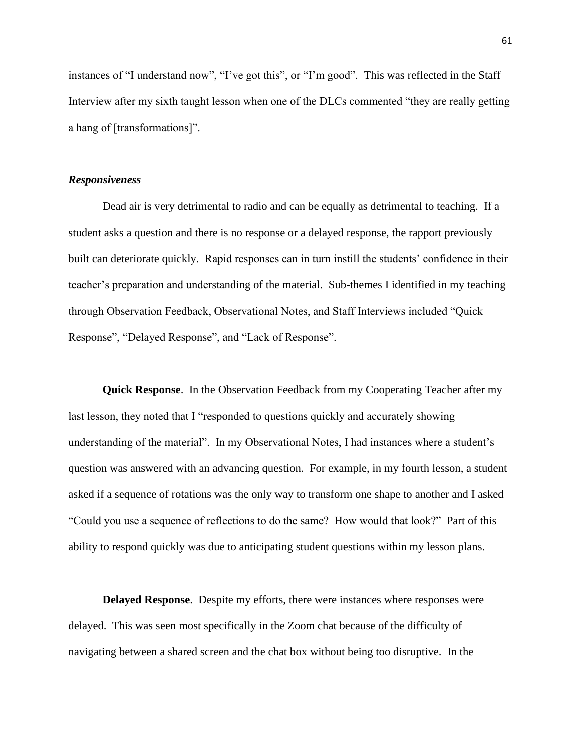instances of "I understand now", "I've got this", or "I'm good". This was reflected in the Staff Interview after my sixth taught lesson when one of the DLCs commented "they are really getting a hang of [transformations]".

### *Responsiveness*

Dead air is very detrimental to radio and can be equally as detrimental to teaching. If a student asks a question and there is no response or a delayed response, the rapport previously built can deteriorate quickly. Rapid responses can in turn instill the students' confidence in their teacher's preparation and understanding of the material. Sub-themes I identified in my teaching through Observation Feedback, Observational Notes, and Staff Interviews included "Quick Response", "Delayed Response", and "Lack of Response".

**Quick Response**. In the Observation Feedback from my Cooperating Teacher after my last lesson, they noted that I "responded to questions quickly and accurately showing understanding of the material". In my Observational Notes, I had instances where a student's question was answered with an advancing question. For example, in my fourth lesson, a student asked if a sequence of rotations was the only way to transform one shape to another and I asked "Could you use a sequence of reflections to do the same? How would that look?" Part of this ability to respond quickly was due to anticipating student questions within my lesson plans.

**Delayed Response**. Despite my efforts, there were instances where responses were delayed. This was seen most specifically in the Zoom chat because of the difficulty of navigating between a shared screen and the chat box without being too disruptive. In the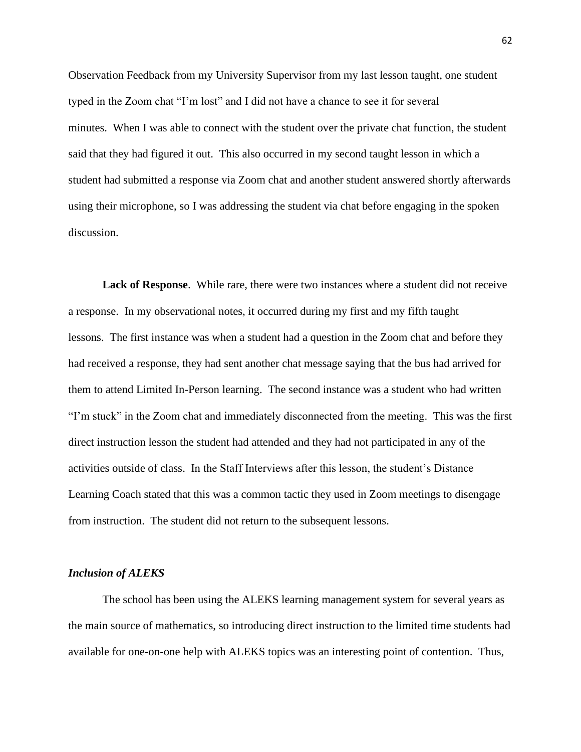Observation Feedback from my University Supervisor from my last lesson taught, one student typed in the Zoom chat "I'm lost" and I did not have a chance to see it for several minutes. When I was able to connect with the student over the private chat function, the student said that they had figured it out. This also occurred in my second taught lesson in which a student had submitted a response via Zoom chat and another student answered shortly afterwards using their microphone, so I was addressing the student via chat before engaging in the spoken discussion.

**Lack of Response**. While rare, there were two instances where a student did not receive a response. In my observational notes, it occurred during my first and my fifth taught lessons. The first instance was when a student had a question in the Zoom chat and before they had received a response, they had sent another chat message saying that the bus had arrived for them to attend Limited In-Person learning. The second instance was a student who had written "I'm stuck" in the Zoom chat and immediately disconnected from the meeting. This was the first direct instruction lesson the student had attended and they had not participated in any of the activities outside of class. In the Staff Interviews after this lesson, the student's Distance Learning Coach stated that this was a common tactic they used in Zoom meetings to disengage from instruction. The student did not return to the subsequent lessons.

### *Inclusion of ALEKS*

The school has been using the ALEKS learning management system for several years as the main source of mathematics, so introducing direct instruction to the limited time students had available for one-on-one help with ALEKS topics was an interesting point of contention. Thus,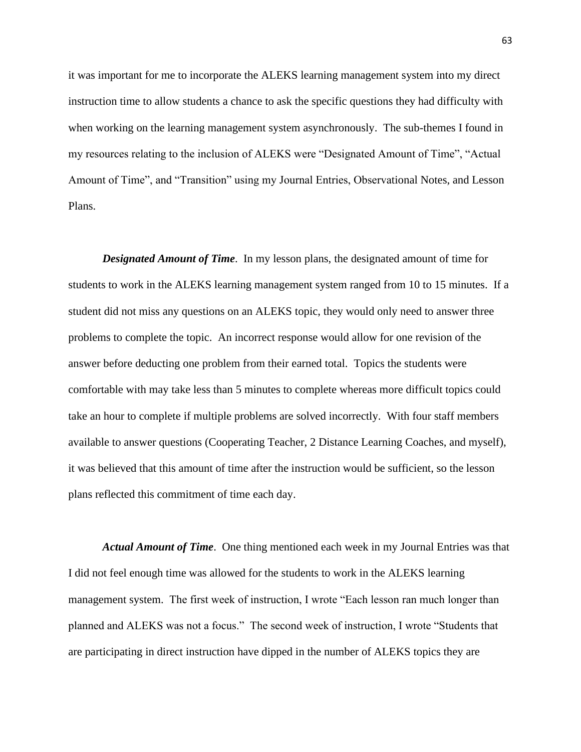it was important for me to incorporate the ALEKS learning management system into my direct instruction time to allow students a chance to ask the specific questions they had difficulty with when working on the learning management system asynchronously. The sub-themes I found in my resources relating to the inclusion of ALEKS were "Designated Amount of Time", "Actual Amount of Time", and "Transition" using my Journal Entries, Observational Notes, and Lesson Plans.

*Designated Amount of Time*. In my lesson plans, the designated amount of time for students to work in the ALEKS learning management system ranged from 10 to 15 minutes. If a student did not miss any questions on an ALEKS topic, they would only need to answer three problems to complete the topic. An incorrect response would allow for one revision of the answer before deducting one problem from their earned total. Topics the students were comfortable with may take less than 5 minutes to complete whereas more difficult topics could take an hour to complete if multiple problems are solved incorrectly. With four staff members available to answer questions (Cooperating Teacher, 2 Distance Learning Coaches, and myself), it was believed that this amount of time after the instruction would be sufficient, so the lesson plans reflected this commitment of time each day.

*Actual Amount of Time*. One thing mentioned each week in my Journal Entries was that I did not feel enough time was allowed for the students to work in the ALEKS learning management system. The first week of instruction, I wrote "Each lesson ran much longer than planned and ALEKS was not a focus." The second week of instruction, I wrote "Students that are participating in direct instruction have dipped in the number of ALEKS topics they are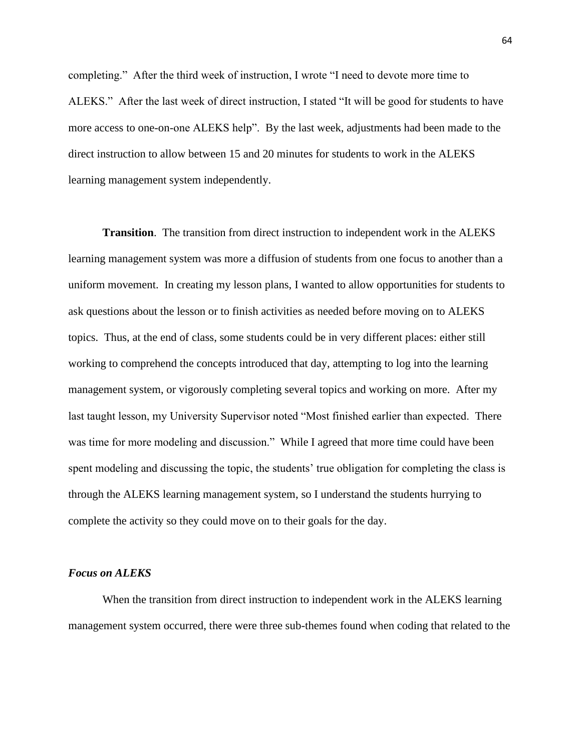completing." After the third week of instruction, I wrote "I need to devote more time to ALEKS." After the last week of direct instruction, I stated "It will be good for students to have more access to one-on-one ALEKS help". By the last week, adjustments had been made to the direct instruction to allow between 15 and 20 minutes for students to work in the ALEKS learning management system independently.

**Transition**. The transition from direct instruction to independent work in the ALEKS learning management system was more a diffusion of students from one focus to another than a uniform movement. In creating my lesson plans, I wanted to allow opportunities for students to ask questions about the lesson or to finish activities as needed before moving on to ALEKS topics. Thus, at the end of class, some students could be in very different places: either still working to comprehend the concepts introduced that day, attempting to log into the learning management system, or vigorously completing several topics and working on more. After my last taught lesson, my University Supervisor noted "Most finished earlier than expected. There was time for more modeling and discussion." While I agreed that more time could have been spent modeling and discussing the topic, the students' true obligation for completing the class is through the ALEKS learning management system, so I understand the students hurrying to complete the activity so they could move on to their goals for the day.

#### *Focus on ALEKS*

When the transition from direct instruction to independent work in the ALEKS learning management system occurred, there were three sub-themes found when coding that related to the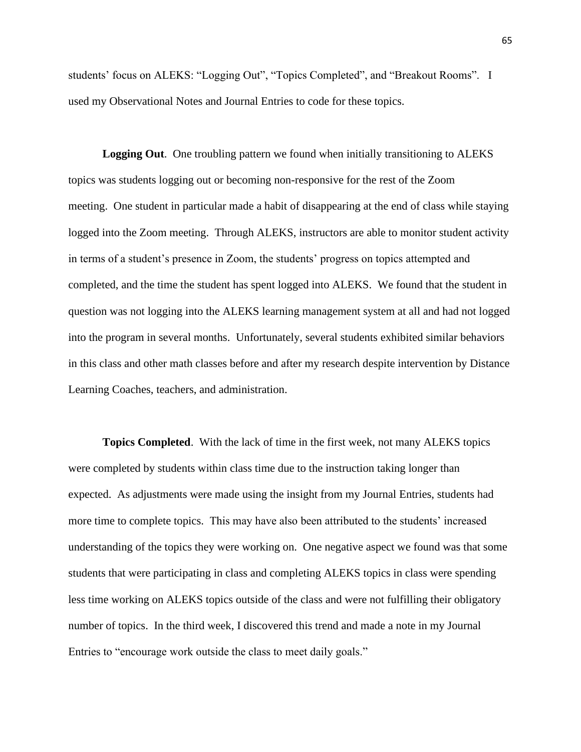students' focus on ALEKS: "Logging Out", "Topics Completed", and "Breakout Rooms". I used my Observational Notes and Journal Entries to code for these topics.

**Logging Out**. One troubling pattern we found when initially transitioning to ALEKS topics was students logging out or becoming non-responsive for the rest of the Zoom meeting. One student in particular made a habit of disappearing at the end of class while staying logged into the Zoom meeting. Through ALEKS, instructors are able to monitor student activity in terms of a student's presence in Zoom, the students' progress on topics attempted and completed, and the time the student has spent logged into ALEKS. We found that the student in question was not logging into the ALEKS learning management system at all and had not logged into the program in several months. Unfortunately, several students exhibited similar behaviors in this class and other math classes before and after my research despite intervention by Distance Learning Coaches, teachers, and administration.

**Topics Completed**. With the lack of time in the first week, not many ALEKS topics were completed by students within class time due to the instruction taking longer than expected. As adjustments were made using the insight from my Journal Entries, students had more time to complete topics. This may have also been attributed to the students' increased understanding of the topics they were working on. One negative aspect we found was that some students that were participating in class and completing ALEKS topics in class were spending less time working on ALEKS topics outside of the class and were not fulfilling their obligatory number of topics. In the third week, I discovered this trend and made a note in my Journal Entries to "encourage work outside the class to meet daily goals."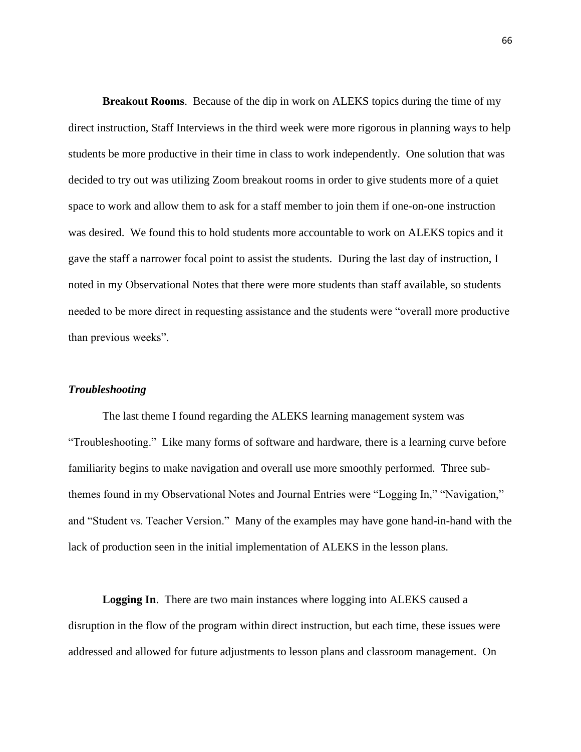**Breakout Rooms**. Because of the dip in work on ALEKS topics during the time of my direct instruction, Staff Interviews in the third week were more rigorous in planning ways to help students be more productive in their time in class to work independently. One solution that was decided to try out was utilizing Zoom breakout rooms in order to give students more of a quiet space to work and allow them to ask for a staff member to join them if one-on-one instruction was desired. We found this to hold students more accountable to work on ALEKS topics and it gave the staff a narrower focal point to assist the students. During the last day of instruction, I noted in my Observational Notes that there were more students than staff available, so students needed to be more direct in requesting assistance and the students were "overall more productive than previous weeks".

### *Troubleshooting*

The last theme I found regarding the ALEKS learning management system was "Troubleshooting." Like many forms of software and hardware, there is a learning curve before familiarity begins to make navigation and overall use more smoothly performed. Three subthemes found in my Observational Notes and Journal Entries were "Logging In," "Navigation," and "Student vs. Teacher Version." Many of the examples may have gone hand-in-hand with the lack of production seen in the initial implementation of ALEKS in the lesson plans.

**Logging In**. There are two main instances where logging into ALEKS caused a disruption in the flow of the program within direct instruction, but each time, these issues were addressed and allowed for future adjustments to lesson plans and classroom management. On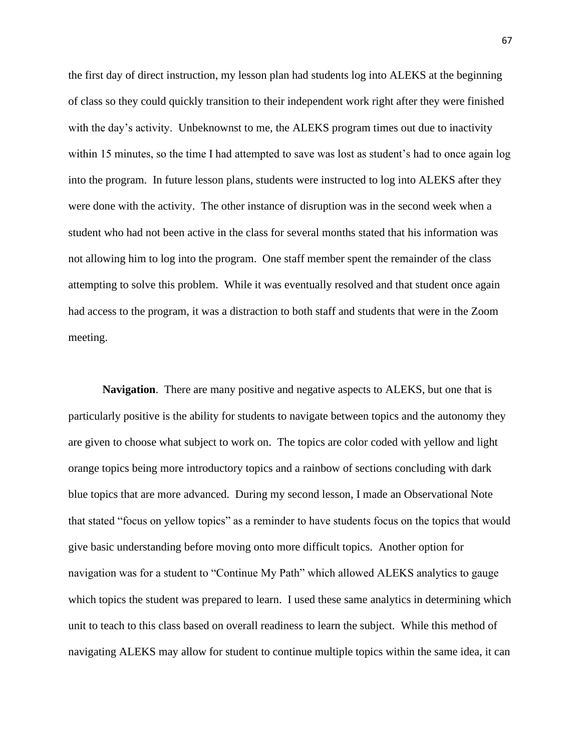the first day of direct instruction, my lesson plan had students log into ALEKS at the beginning of class so they could quickly transition to their independent work right after they were finished with the day's activity. Unbeknownst to me, the ALEKS program times out due to inactivity within 15 minutes, so the time I had attempted to save was lost as student's had to once again log into the program. In future lesson plans, students were instructed to log into ALEKS after they were done with the activity. The other instance of disruption was in the second week when a student who had not been active in the class for several months stated that his information was not allowing him to log into the program. One staff member spent the remainder of the class attempting to solve this problem. While it was eventually resolved and that student once again had access to the program, it was a distraction to both staff and students that were in the Zoom meeting.

**Navigation**. There are many positive and negative aspects to ALEKS, but one that is particularly positive is the ability for students to navigate between topics and the autonomy they are given to choose what subject to work on. The topics are color coded with yellow and light orange topics being more introductory topics and a rainbow of sections concluding with dark blue topics that are more advanced. During my second lesson, I made an Observational Note that stated "focus on yellow topics" as a reminder to have students focus on the topics that would give basic understanding before moving onto more difficult topics. Another option for navigation was for a student to "Continue My Path" which allowed ALEKS analytics to gauge which topics the student was prepared to learn. I used these same analytics in determining which unit to teach to this class based on overall readiness to learn the subject. While this method of navigating ALEKS may allow for student to continue multiple topics within the same idea, it can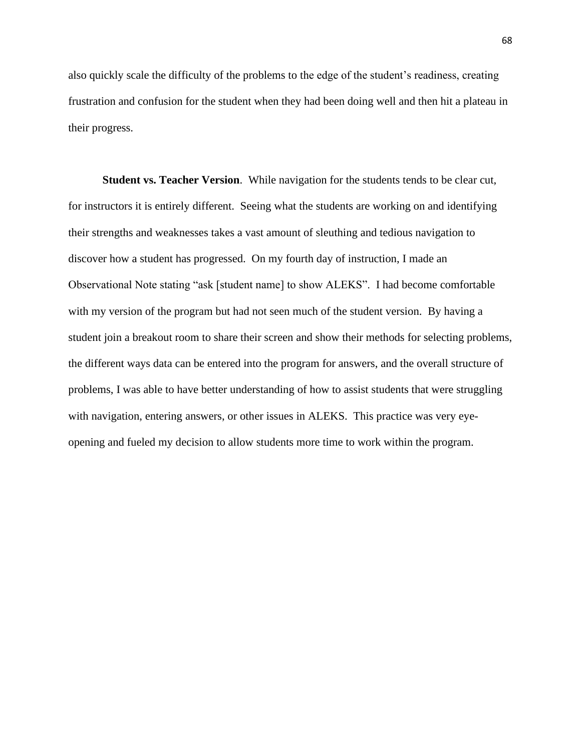also quickly scale the difficulty of the problems to the edge of the student's readiness, creating frustration and confusion for the student when they had been doing well and then hit a plateau in their progress.

**Student vs. Teacher Version**. While navigation for the students tends to be clear cut, for instructors it is entirely different. Seeing what the students are working on and identifying their strengths and weaknesses takes a vast amount of sleuthing and tedious navigation to discover how a student has progressed. On my fourth day of instruction, I made an Observational Note stating "ask [student name] to show ALEKS". I had become comfortable with my version of the program but had not seen much of the student version. By having a student join a breakout room to share their screen and show their methods for selecting problems, the different ways data can be entered into the program for answers, and the overall structure of problems, I was able to have better understanding of how to assist students that were struggling with navigation, entering answers, or other issues in ALEKS. This practice was very eyeopening and fueled my decision to allow students more time to work within the program.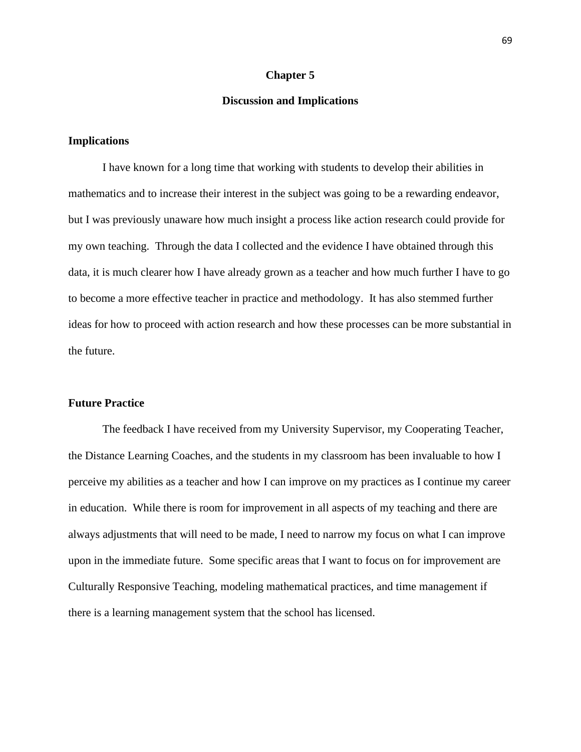#### **Chapter 5**

### **Discussion and Implications**

## **Implications**

I have known for a long time that working with students to develop their abilities in mathematics and to increase their interest in the subject was going to be a rewarding endeavor, but I was previously unaware how much insight a process like action research could provide for my own teaching. Through the data I collected and the evidence I have obtained through this data, it is much clearer how I have already grown as a teacher and how much further I have to go to become a more effective teacher in practice and methodology. It has also stemmed further ideas for how to proceed with action research and how these processes can be more substantial in the future.

## **Future Practice**

The feedback I have received from my University Supervisor, my Cooperating Teacher, the Distance Learning Coaches, and the students in my classroom has been invaluable to how I perceive my abilities as a teacher and how I can improve on my practices as I continue my career in education. While there is room for improvement in all aspects of my teaching and there are always adjustments that will need to be made, I need to narrow my focus on what I can improve upon in the immediate future. Some specific areas that I want to focus on for improvement are Culturally Responsive Teaching, modeling mathematical practices, and time management if there is a learning management system that the school has licensed.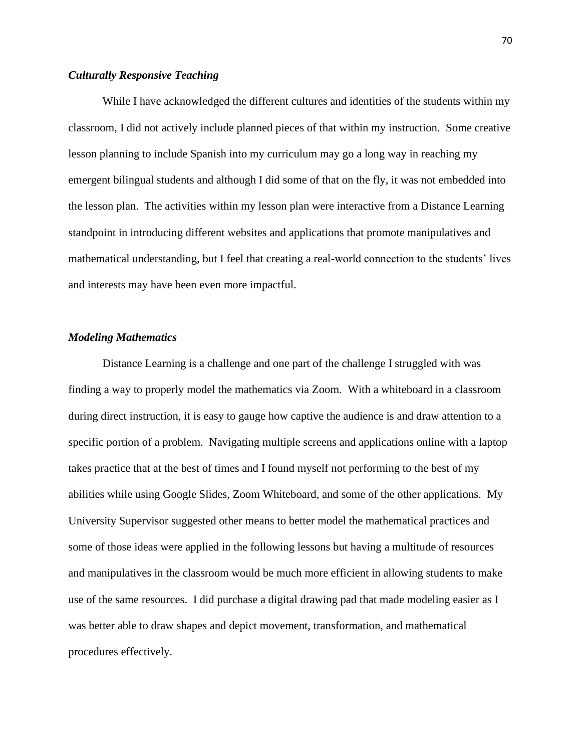## *Culturally Responsive Teaching*

While I have acknowledged the different cultures and identities of the students within my classroom, I did not actively include planned pieces of that within my instruction. Some creative lesson planning to include Spanish into my curriculum may go a long way in reaching my emergent bilingual students and although I did some of that on the fly, it was not embedded into the lesson plan. The activities within my lesson plan were interactive from a Distance Learning standpoint in introducing different websites and applications that promote manipulatives and mathematical understanding, but I feel that creating a real-world connection to the students' lives and interests may have been even more impactful.

# *Modeling Mathematics*

Distance Learning is a challenge and one part of the challenge I struggled with was finding a way to properly model the mathematics via Zoom. With a whiteboard in a classroom during direct instruction, it is easy to gauge how captive the audience is and draw attention to a specific portion of a problem. Navigating multiple screens and applications online with a laptop takes practice that at the best of times and I found myself not performing to the best of my abilities while using Google Slides, Zoom Whiteboard, and some of the other applications. My University Supervisor suggested other means to better model the mathematical practices and some of those ideas were applied in the following lessons but having a multitude of resources and manipulatives in the classroom would be much more efficient in allowing students to make use of the same resources. I did purchase a digital drawing pad that made modeling easier as I was better able to draw shapes and depict movement, transformation, and mathematical procedures effectively.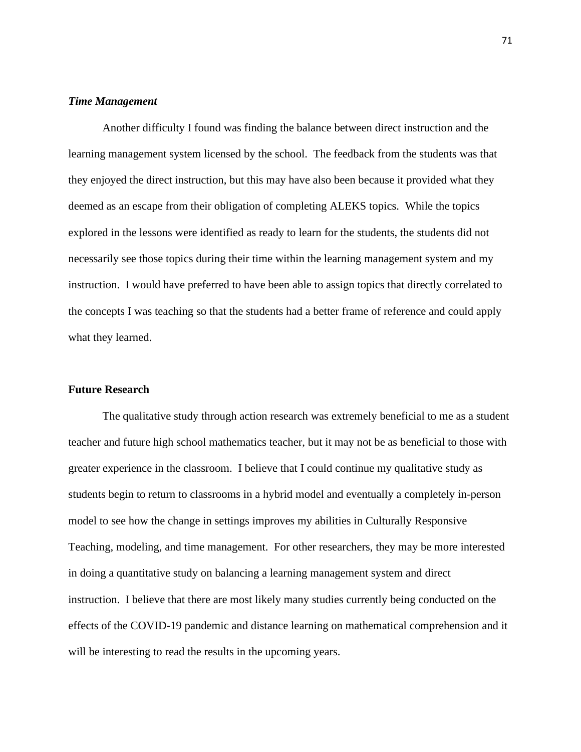# *Time Management*

Another difficulty I found was finding the balance between direct instruction and the learning management system licensed by the school. The feedback from the students was that they enjoyed the direct instruction, but this may have also been because it provided what they deemed as an escape from their obligation of completing ALEKS topics. While the topics explored in the lessons were identified as ready to learn for the students, the students did not necessarily see those topics during their time within the learning management system and my instruction. I would have preferred to have been able to assign topics that directly correlated to the concepts I was teaching so that the students had a better frame of reference and could apply what they learned.

### **Future Research**

The qualitative study through action research was extremely beneficial to me as a student teacher and future high school mathematics teacher, but it may not be as beneficial to those with greater experience in the classroom. I believe that I could continue my qualitative study as students begin to return to classrooms in a hybrid model and eventually a completely in-person model to see how the change in settings improves my abilities in Culturally Responsive Teaching, modeling, and time management. For other researchers, they may be more interested in doing a quantitative study on balancing a learning management system and direct instruction. I believe that there are most likely many studies currently being conducted on the effects of the COVID-19 pandemic and distance learning on mathematical comprehension and it will be interesting to read the results in the upcoming years.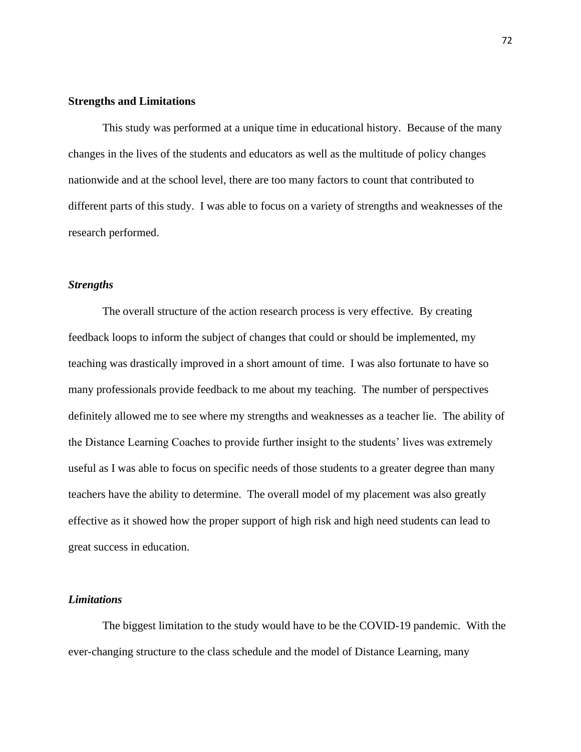### **Strengths and Limitations**

This study was performed at a unique time in educational history. Because of the many changes in the lives of the students and educators as well as the multitude of policy changes nationwide and at the school level, there are too many factors to count that contributed to different parts of this study. I was able to focus on a variety of strengths and weaknesses of the research performed.

# *Strengths*

The overall structure of the action research process is very effective. By creating feedback loops to inform the subject of changes that could or should be implemented, my teaching was drastically improved in a short amount of time. I was also fortunate to have so many professionals provide feedback to me about my teaching. The number of perspectives definitely allowed me to see where my strengths and weaknesses as a teacher lie. The ability of the Distance Learning Coaches to provide further insight to the students' lives was extremely useful as I was able to focus on specific needs of those students to a greater degree than many teachers have the ability to determine. The overall model of my placement was also greatly effective as it showed how the proper support of high risk and high need students can lead to great success in education.

# *Limitations*

The biggest limitation to the study would have to be the COVID-19 pandemic. With the ever-changing structure to the class schedule and the model of Distance Learning, many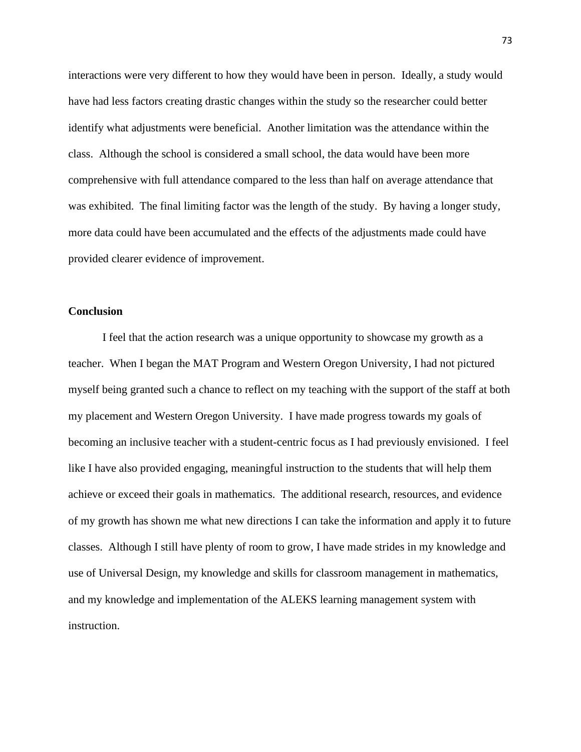interactions were very different to how they would have been in person. Ideally, a study would have had less factors creating drastic changes within the study so the researcher could better identify what adjustments were beneficial. Another limitation was the attendance within the class. Although the school is considered a small school, the data would have been more comprehensive with full attendance compared to the less than half on average attendance that was exhibited. The final limiting factor was the length of the study. By having a longer study, more data could have been accumulated and the effects of the adjustments made could have provided clearer evidence of improvement.

# **Conclusion**

I feel that the action research was a unique opportunity to showcase my growth as a teacher. When I began the MAT Program and Western Oregon University, I had not pictured myself being granted such a chance to reflect on my teaching with the support of the staff at both my placement and Western Oregon University. I have made progress towards my goals of becoming an inclusive teacher with a student-centric focus as I had previously envisioned. I feel like I have also provided engaging, meaningful instruction to the students that will help them achieve or exceed their goals in mathematics. The additional research, resources, and evidence of my growth has shown me what new directions I can take the information and apply it to future classes. Although I still have plenty of room to grow, I have made strides in my knowledge and use of Universal Design, my knowledge and skills for classroom management in mathematics, and my knowledge and implementation of the ALEKS learning management system with instruction.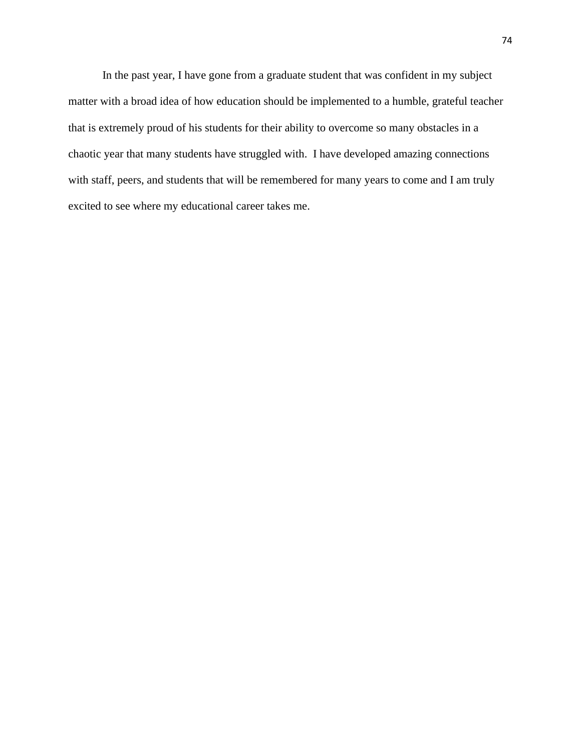In the past year, I have gone from a graduate student that was confident in my subject matter with a broad idea of how education should be implemented to a humble, grateful teacher that is extremely proud of his students for their ability to overcome so many obstacles in a chaotic year that many students have struggled with. I have developed amazing connections with staff, peers, and students that will be remembered for many years to come and I am truly excited to see where my educational career takes me.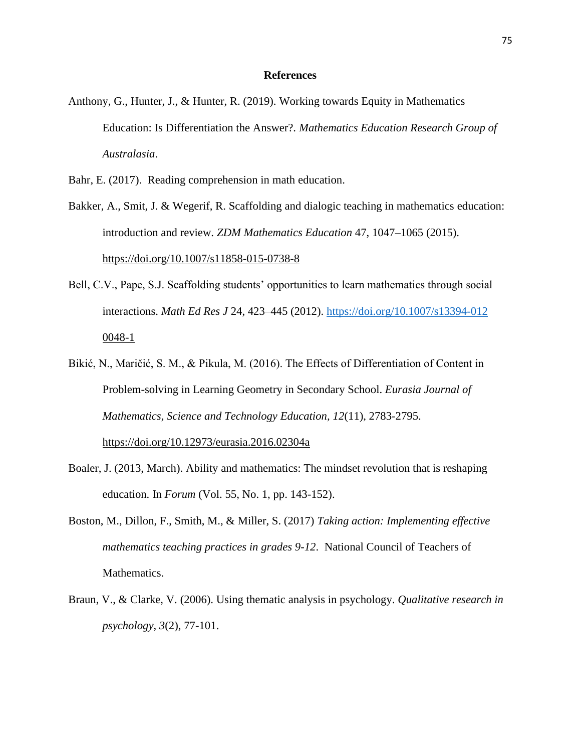#### **References**

- Anthony, G., Hunter, J., & Hunter, R. (2019). Working towards Equity in Mathematics Education: Is Differentiation the Answer?. *Mathematics Education Research Group of Australasia*.
- Bahr, E. (2017). Reading comprehension in math education.
- Bakker, A., Smit, J. & Wegerif, R. Scaffolding and dialogic teaching in mathematics education: introduction and review. *ZDM Mathematics Education* 47, 1047–1065 (2015). https://doi.org/10.1007/s11858-015-0738-8
- Bell, C.V., Pape, S.J. Scaffolding students' opportunities to learn mathematics through social interactions. *Math Ed Res J* 24, 423–445 (2012).<https://doi.org/10.1007/s13394-012> 0048-1
- Bikić, N., Maričić, S. M., & Pikula, M. (2016). The Effects of Differentiation of Content in Problem-solving in Learning Geometry in Secondary School. *Eurasia Journal of Mathematics, Science and Technology Education, 12*(11), 2783-2795.

https://doi.org/10.12973/eurasia.2016.02304a

- Boaler, J. (2013, March). Ability and mathematics: The mindset revolution that is reshaping education. In *Forum* (Vol. 55, No. 1, pp. 143-152).
- Boston, M., Dillon, F., Smith, M., & Miller, S. (2017) *Taking action: Implementing effective mathematics teaching practices in grades 9-12*. National Council of Teachers of Mathematics.
- Braun, V., & Clarke, V. (2006). Using thematic analysis in psychology. *Qualitative research in psychology*, *3*(2), 77-101.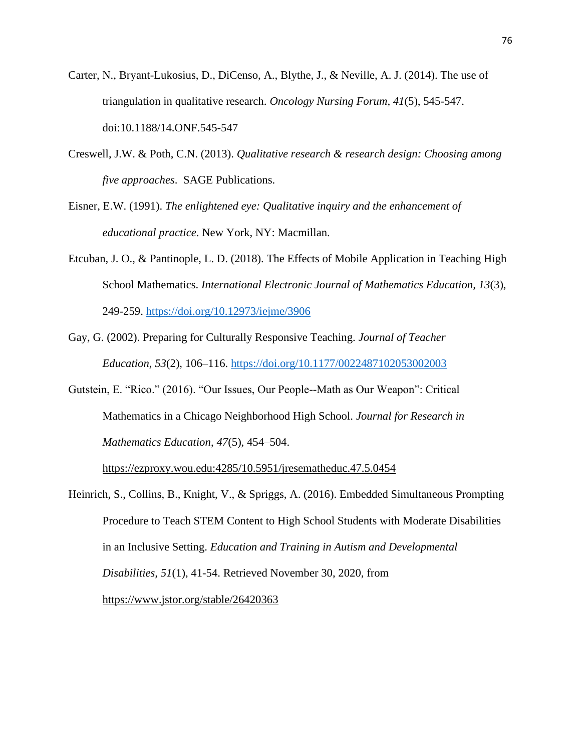- Carter, N., Bryant-Lukosius, D., DiCenso, A., Blythe, J., & Neville, A. J. (2014). The use of triangulation in qualitative research. *Oncology Nursing Forum, 41*(5), 545-547. doi:10.1188/14.ONF.545-547
- Creswell, J.W. & Poth, C.N. (2013). *Qualitative research & research design: Choosing among five approaches*. SAGE Publications.
- Eisner, E.W. (1991). *The enlightened eye: Qualitative inquiry and the enhancement of educational practice*. New York, NY: Macmillan.
- Etcuban, J. O., & Pantinople, L. D. (2018). The Effects of Mobile Application in Teaching High School Mathematics. *International Electronic Journal of Mathematics Education, 13*(3), 249-259.<https://doi.org/10.12973/iejme/3906>
- Gay, G. (2002). Preparing for Culturally Responsive Teaching. *Journal of Teacher Education*, *53*(2), 106–116. <https://doi.org/10.1177/0022487102053002003>
- Gutstein, E. "Rico." (2016). "Our Issues, Our People--Math as Our Weapon": Critical Mathematics in a Chicago Neighborhood High School. *Journal for Research in Mathematics Education*, *47*(5), 454–504.

https://ezproxy.wou.edu:4285/10.5951/jresematheduc.47.5.0454

Heinrich, S., Collins, B., Knight, V., & Spriggs, A. (2016). Embedded Simultaneous Prompting Procedure to Teach STEM Content to High School Students with Moderate Disabilities in an Inclusive Setting. *Education and Training in Autism and Developmental Disabilities, 51*(1), 41-54. Retrieved November 30, 2020, from https://www.jstor.org/stable/26420363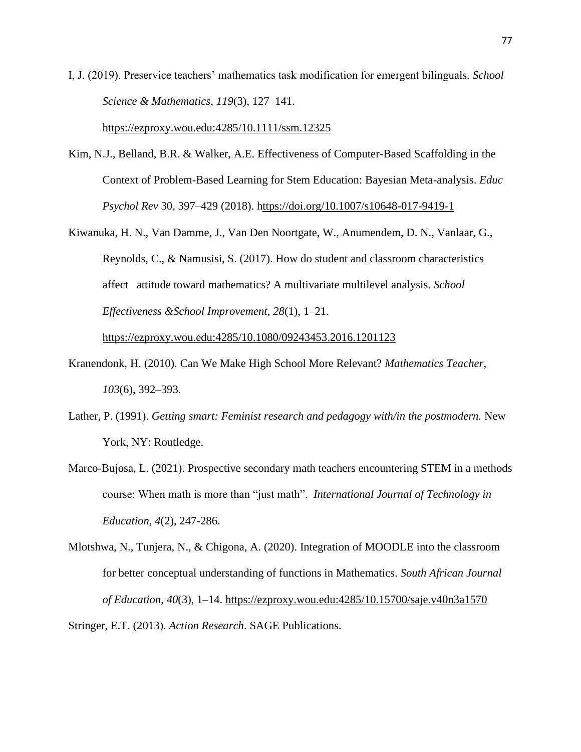I, J. (2019). Preservice teachers' mathematics task modification for emergent bilinguals. *School Science & Mathematics*, *119*(3), 127–141.

https://ezproxy.wou.edu:4285/10.1111/ssm.12325

- Kim, N.J., Belland, B.R. & Walker, A.E. Effectiveness of Computer-Based Scaffolding in the Context of Problem-Based Learning for Stem Education: Bayesian Meta-analysis. *Educ Psychol Rev* 30, 397–429 (2018). https://doi.org/10.1007/s10648-017-9419-1
- Kiwanuka, H. N., Van Damme, J., Van Den Noortgate, W., Anumendem, D. N., Vanlaar, G., Reynolds, C., & Namusisi, S. (2017). How do student and classroom characteristics affect attitude toward mathematics? A multivariate multilevel analysis. *School Effectiveness &School Improvement*, *28*(1), 1–21.

https://ezproxy.wou.edu:4285/10.1080/09243453.2016.1201123

- Kranendonk, H. (2010). Can We Make High School More Relevant? *Mathematics Teacher*, *103*(6), 392–393.
- Lather, P. (1991). *Getting smart: Feminist research and pedagogy with/in the postmodern*. New York, NY: Routledge.
- Marco-Bujosa, L. (2021). Prospective secondary math teachers encountering STEM in a methods course: When math is more than "just math". *International Journal of Technology in Education, 4*(2), 247-286.
- Mlotshwa, N., Tunjera, N., & Chigona, A. (2020). Integration of MOODLE into the classroom for better conceptual understanding of functions in Mathematics. *South African Journal of Education*, *40*(3), 1–14. https://ezproxy.wou.edu:4285/10.15700/saje.v40n3a1570

Stringer, E.T. (2013). *Action Research*. SAGE Publications.